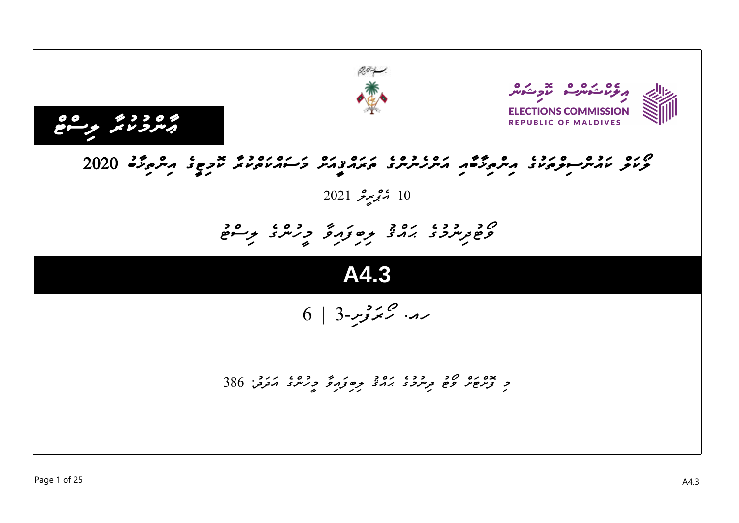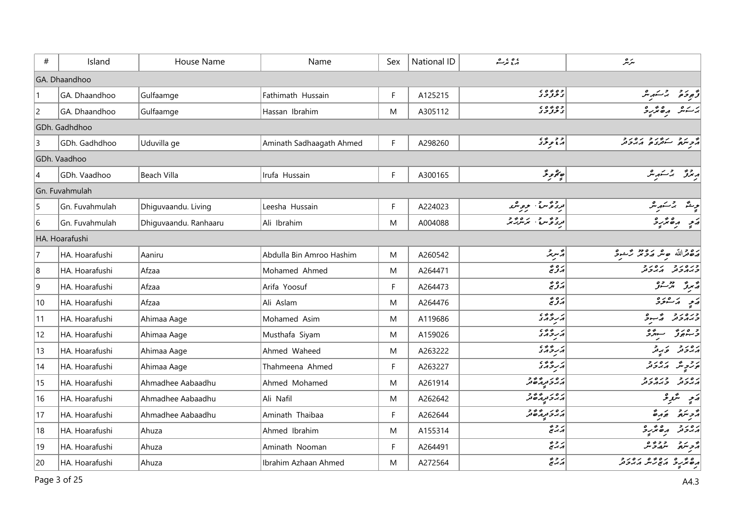| #               | Island         | House Name            | Name                     | Sex | National ID | ، ه ، ره<br>مر، مر                                             | ىئرىتر                                    |
|-----------------|----------------|-----------------------|--------------------------|-----|-------------|----------------------------------------------------------------|-------------------------------------------|
|                 | GA. Dhaandhoo  |                       |                          |     |             |                                                                |                                           |
| 1               | GA. Dhaandhoo  | Gulfaamge             | Fathimath Hussain        | F   | A125215     | وه پوه ،<br>د <del>و</del> تو <del>و</del> د                   |                                           |
| $\overline{2}$  | GA. Dhaandhoo  | Gulfaamge             | Hassan Ibrahim           | M   | A305112     | د ه و ه ه ،<br>د <del>و</del> تو و د                           |                                           |
|                 | GDh. Gadhdhoo  |                       |                          |     |             |                                                                |                                           |
| 3               | GDh. Gadhdhoo  | Uduvilla ge           | Aminath Sadhaagath Ahmed | F.  | A298260     | د د و و د                                                      | و دو دورو ده دو.<br>دگرېنۍ سنترده د برونر |
|                 | GDh. Vaadhoo   |                       |                          |     |             |                                                                |                                           |
| 4               | GDh. Vaadhoo   | <b>Beach Villa</b>    | Irufa Hussain            | F   | A300165     | په محرمو محر                                                   | أرىرى برسىدىك                             |
|                 | Gn. Fuvahmulah |                       |                          |     |             |                                                                |                                           |
| 5               | Gn. Fuvahmulah | Dhiguvaandu. Living   | Leesha Hussain           | F   | A224023     | دره گاره مورد محمد<br>دره گاره مورد بر<br>دره گاره محمد بردارد | ويش رقم مكرمه                             |
| $6\overline{6}$ | Gn. Fuvahmulah | Dhiguvaandu. Ranhaaru | Ali Ibrahim              | M   | A004088     |                                                                | ړې ره ټرو                                 |
|                 | HA. Hoarafushi |                       |                          |     |             |                                                                |                                           |
| 17              | HA. Hoarafushi | Aaniru                | Abdulla Bin Amroo Hashim | M   | A260542     | اړمبر پر                                                       | أرە داللە ھەر مەدىر ئەجرى                 |
| 8               | HA. Hoarafushi | Afzaa                 | Mohamed Ahmed            | M   | A264471     | رەپچ                                                           | כנסנכ נסנכ<br>כמחכת המכת                  |
| 9               | HA. Hoarafushi | Afzaa                 | Arifa Yoosuf             | F   | A264473     | روء                                                            | ە ئىبرۇ ھەسىز                             |
| 10              | HA. Hoarafushi | Afzaa                 | Ali Aslam                | M   | A264476     | رەپچ                                                           | أقدم ويتموده                              |
| 11              | HA. Hoarafushi | Ahimaa Aage           | Mohamed Asim             | M   | A119686     | ەرچە                                                           | ورەرو ئەبدۇ                               |
| 12              | HA. Hoarafushi | Ahimaa Aage           | Musthafa Siyam           | M   | A159026     | ەرچە                                                           | ومبورة سنرد                               |
| $ 13\rangle$    | HA. Hoarafushi | Ahimaa Aage           | Ahmed Waheed             | M   | A263222     | ەرچە                                                           | د ه د چې ته تر                            |
| 14              | HA. Hoarafushi | Ahimaa Aage           | Thahmeena Ahmed          | F   | A263227     | أبر و و ،                                                      | ر و په رور و<br>مورد کردور                |
| 15              | HA. Hoarafushi | Ahmadhee Aabaadhu     | Ahmed Mohamed            | M   | A261914     | ر ه ر په د و<br>م.ر څو مرض                                     | ג סג כ כג סג כ                            |
| 16              | HA. Hoarafushi | Ahmadhee Aabaadhu     | Ali Nafil                | M   | A262642     | ر ه ر په د و<br>م.ر څرمه ځه تر                                 | ړې شرو                                    |
| 17              | HA. Hoarafushi | Ahmadhee Aabaadhu     | Aminath Thaibaa          | F   | A262644     | ر ه ر په د و<br>م.ر څو مرگه څو                                 |                                           |
| 18              | HA. Hoarafushi | Ahuza                 | Ahmed Ibrahim            | M   | A155314     | ەرجە                                                           |                                           |
| 19              | HA. Hoarafushi | Ahuza                 | Aminath Nooman           | F.  | A264491     | ەرجە                                                           | ה הר בכבית                                |
| 20              | HA. Hoarafushi | Ahuza                 | Ibrahim Azhaan Ahmed     | M   | A272564     | ەرجە                                                           | גם מים גם מים גם גב                       |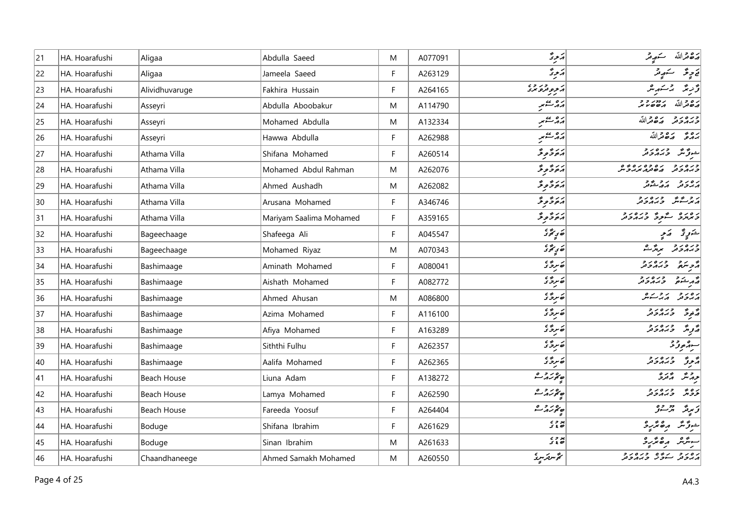| 21 | HA. Hoarafushi | Aligaa             | Abdulla Saeed           | ${\sf M}$ | A077091 | رَحِرَّ                        | بره والله كريد                                                   |
|----|----------------|--------------------|-------------------------|-----------|---------|--------------------------------|------------------------------------------------------------------|
| 22 | HA. Hoarafushi | Aligaa             | Jameela Saeed           | F         | A263129 | رَحرَّ                         | ى ئەق ئىستىمىتى<br>ئار ئىستىمىتىسى<br>ئار ئىستىمى ئىستىمىتىسى    |
| 23 | HA. Hoarafushi | Alividhuvaruge     | Fakhira Hussain         | F         | A264165 | اړ ده ور د ،<br>اړ ده مره مره  |                                                                  |
| 24 | HA. Hoarafushi | Asseyri            | Abdulla Aboobakur       | M         | A114790 | اړه سمبر                       | 77/200/1<br>برە تراللە                                           |
| 25 | HA. Hoarafushi | Asseyri            | Mohamed Abdulla         | M         | A132334 | لره يھير                       | وره رو روو الله                                                  |
| 26 | HA. Hoarafushi | Asseyri            | Hawwa Abdulla           | F         | A262988 | لهزه عيمر                      | بروء روورالله                                                    |
| 27 | HA. Hoarafushi | Athama Villa       | Shifana Mohamed         | F         | A260514 | أبرونو وقر                     | جو وره دو                                                        |
| 28 | HA. Hoarafushi | Athama Villa       | Mohamed Abdul Rahman    | ${\sf M}$ | A262076 | برزء وقر                       | כנסנכ נסכסנסקס<br>כגמכת מסתמינגכית                               |
| 29 | HA. Hoarafushi | Athama Villa       | Ahmed Aushadh           | ${\sf M}$ | A262082 | لرزء وبحر                      | رەرد دەردە<br>مەرىر مەشقى                                        |
| 30 | HA. Hoarafushi | Athama Villa       | Arusana Mohamed         | F         | A346746 | پرځ ځو ځه                      | ر د مهر دره د د<br>مرکز شرکت د بر د در                           |
| 31 | HA. Hoarafushi | Athama Villa       | Mariyam Saalima Mohamed | F         | A359165 | بر بر پیمونهٔ                  | وبرور ومحرق وره دو                                               |
| 32 | HA. Hoarafushi | Bageechaage        | Shafeega Ali            | F         | A045547 | <br>  ته نړۍ د                 | شَرَوٍ لَا أَمَرِ                                                |
| 33 | HA. Hoarafushi | Bageechaage        | Mohamed Riyaz           | M         | A070343 | <br>  تەمەمگە ئ                | ورەرو بروگ                                                       |
| 34 | HA. Hoarafushi | Bashimaage         | Aminath Mohamed         | F         | A080041 | ر په ه<br>په مرد د             | 21012 2124                                                       |
| 35 | HA. Hoarafushi | Bashimaage         | Aishath Mohamed         | F         | A082772 | ر<br>خ مرد د                   | أشهر وره رو                                                      |
| 36 | HA. Hoarafushi | Bashimaage         | Ahmed Ahusan            | ${\sf M}$ | A086800 | ر<br>ځمړنۍ                     | رەرو روسىر                                                       |
| 37 | HA. Hoarafushi | Bashimaage         | Azima Mohamed           | F         | A116100 | ر<br>ځېږدن                     | و رە ر د<br>تر پر تر تر<br>پ <sup>و</sup> خو څ <sup>ه</sup><br>د |
| 38 | HA. Hoarafushi | Bashimaage         | Afiya Mohamed           | F         | A163289 | ر په په<br>په مرد د            | ەزىر<br>و ره ر و<br><i>و پر</i> و تر                             |
| 39 | HA. Hoarafushi | Bashimaage         | Siththi Fulhu           | F         | A262357 | ر دي.<br>حرچ د                 | سود حوفر ش                                                       |
| 40 | HA. Hoarafushi | Bashimaage         | Aalifa Mohamed          | F         | A262365 | ر په په<br>په مرچ <sub>ک</sub> | ورەرد<br>أزمزقه                                                  |
| 41 | HA. Hoarafushi | <b>Beach House</b> | Liuna Adam              | F         | A138272 | 27/6                           | جەمش ئەرە                                                        |
| 42 | HA. Hoarafushi | <b>Beach House</b> | Lamya Mohamed           | F         | A262590 | ە <i>ئاجى ئە</i> رمىسى         | ترەپىر<br>و رە ر د<br><i>د ب</i> رگرىز                           |
| 43 | HA. Hoarafushi | <b>Beach House</b> | Fareeda Yoosuf          | F         | A264404 | ھ گر ره ره                     | ۇ بونى ئۆرخۇ                                                     |
| 44 | HA. Hoarafushi | Boduge             | Shifana Ibrahim         | F         | A261629 | پر و م<br>ن و ک                | شوژ شهره مورد<br>مشور شهر مورد                                   |
| 45 | HA. Hoarafushi | Boduge             | Sinan Ibrahim           | ${\sf M}$ | A261633 | پر د ی<br>  ه ډ ک              | سوشر مقترره                                                      |
| 46 | HA. Hoarafushi | Chaandhaneege      | Ahmed Samakh Mohamed    | ${\sf M}$ | A260550 | ڭوسىترس <sub>ى</sub> ر         | ره رو در ده وره رو<br>مهرونس سوگر وبه دفر                        |
|    |                |                    |                         |           |         |                                |                                                                  |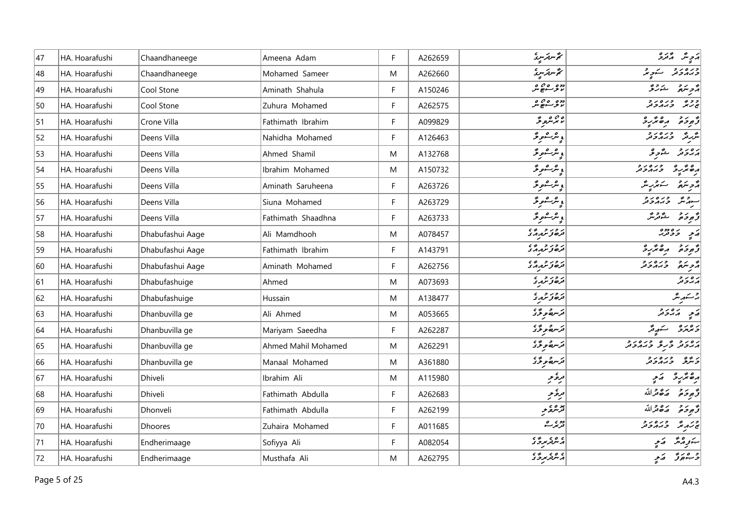| 47 | HA. Hoarafushi | Chaandhaneege    | Ameena Adam         | F         | A262659 | ڭۇس <sub>ى</sub> ترىي <sub>ر</sub> ى                | أرَدِ سَرَّ أَرْمَرْدَ                            |
|----|----------------|------------------|---------------------|-----------|---------|-----------------------------------------------------|---------------------------------------------------|
| 48 | HA. Hoarafushi | Chaandhaneege    | Mohamed Sameer      | M         | A262660 | كۇسرىر سرچ                                          | دره د د سکوپر                                     |
| 49 | HA. Hoarafushi | Cool Stone       | Aminath Shahula     | F         | A150246 | <mark>«و وه و</mark> ه                              | ړې سره<br>ے تر بحر                                |
| 50 | HA. Hoarafushi | Cool Stone       | Zuhura Mohamed      | F         | A262575 | دده وره مي <sub>د</sub>                             | ىز 2 بۇ<br>سى<br>و ره ر د<br>تر پر تر تر          |
| 51 | HA. Hoarafushi | Crone Villa      | Fathimath Ibrahim   | F         | A099829 | 200ع قر                                             | ومجددة المصريدة                                   |
| 52 | HA. Hoarafushi | Deens Villa      | Nahidha Mohamed     | F         | A126463 | ، ي <sub>ى</sub> ر ش <sub>ىرى</sub> ئە              | ىترىرىتر<br>و ر ه ر د<br>تر پر ژ تر               |
| 53 | HA. Hoarafushi | Deens Villa      | Ahmed Shamil        | M         | A132768 | ، م <sup>ى</sup> ر سىمو ئۇ                          | رەر دۇرى                                          |
| 54 | HA. Hoarafushi | Deens Villa      | Ibrahim Mohamed     | ${\sf M}$ | A150732 | ، م <sup>ى</sup> رىش <sub>ىرى</sub><br>ئ            | و پر ۵ پر و<br>تر <i>پر ډ</i> ېر<br>ە ھېڭرىر<br>س |
| 55 | HA. Hoarafushi | Deens Villa      | Aminath Saruheena   | F         | A263726 | ، ي <sub>ى</sub> ر شەھ ئ <sup>ۇ</sup>               | لجمعر سنرو<br>سە ئەربەتر                          |
| 56 | HA. Hoarafushi | Deens Villa      | Siuna Mohamed       | F         | A263729 | ، ي <sub>ى</sub> ر مىشرىدىگە<br>ئ                   | - دره رو<br>د بر د تر<br>سىدىگە                   |
| 57 | HA. Hoarafushi | Deens Villa      | Fathimath Shaadhna  | F         | A263733 | ، پ <sup>ر</sup> گرمرگر                             | شە تەرىپىگە<br>ا تو بر د<br>ا                     |
| 58 | HA. Hoarafushi | Dhabufashui Aage | Ali Mamdhooh        | M         | A078457 | رور و په و<br>  تر <i>ه تر ترو</i> د                | ړې ده ده.<br>سر                                   |
| 59 | HA. Hoarafushi | Dhabufashui Aage | Fathimath Ibrahim   | F         | A143791 | ر ور و<br>تر <i>ه ژ ترو</i> پر <sub>ک</sub>         | و په پر د<br>ە ھەترىر 3                           |
| 60 | HA. Hoarafushi | Dhabufashui Aage | Aminath Mohamed     | F         | A262756 | پر <i>ور و پر و</i> ءِ<br>  تر <i>ھ تي ترم پر</i> و | و ره ر و<br><i>و پ</i> رو تر<br>أرمز برد          |
| 61 | HA. Hoarafushi | Dhabufashuige    | Ahmed               | M         | A073693 | ر ور و<br>تر <i>ه و تر</i> بر د                     | ر ە ر د<br>مەركىر                                 |
| 62 | HA. Hoarafushi | Dhabufashuige    | Hussain             | ${\sf M}$ | A138477 | ر ور و<br>تر <i>ه ؤ تر</i> ړ <sub>ک</sub>           | برسەر بىر                                         |
| 63 | HA. Hoarafushi | Dhanbuvilla ge   | Ali Ahmed           | M         | A053665 | ر<br>ترسم <i>ة و ڈ</i> ی                            | أە ئەرەر ئەر                                      |
| 64 | HA. Hoarafushi | Dhanbuvilla ge   | Mariyam Saeedha     | F         | A262287 | تەسھۇمۇمۇ                                           | رەرە سەرقە                                        |
| 65 | HA. Hoarafushi | Dhanbuvilla ge   | Ahmed Mahil Mohamed | M         | A262291 | تَدَسِهُ عِرْقَرَى                                  | גפנד כניפ כנהבת                                   |
| 66 | HA. Hoarafushi | Dhanbuvilla ge   | Manaal Mohamed      | ${\sf M}$ | A361880 | ر<br>ترسم <i>ه و ڈی</i>                             | ر موه در در د<br>د سرگر د بر د تر                 |
| 67 | HA. Hoarafushi | Dhiveli          | Ibrahim Ali         | M         | A115980 | ىر گە م                                             | رە ئەر ئەي                                        |
| 68 | HA. Hoarafushi | Dhiveli          | Fathimath Abdulla   | F         | A262683 | <sub>موج</sub> و<br>ر                               | ۇ بوخۇ<br>ەھىراللە                                |
| 69 | HA. Hoarafushi | Dhonveli         | Fathimath Abdulla   | F         | A262199 | مره هو مر                                           | قرجوحته وكالحدالله                                |
| 70 | HA. Hoarafushi | <b>Dhoores</b>   | Zuhaira Mohamed     | F         | A011685 | ود ۽ ه                                              | و ره ر د<br><i>د ب</i> رگرفر<br>چ ئەم <b>رىتى</b> |
| 71 | HA. Hoarafushi | Endherimaage     | Sofiyya Ali         | F         | A082054 | پر هر پر پر پر پر                                   | سەر ۋە<br>صعر                                     |
| 72 | HA. Hoarafushi | Endherimaage     | Musthafa Ali        | ${\sf M}$ | A262795 | ې ه وې پر پرې<br>مربتر <i>بر</i> وگړ                | د مەر پە<br>ەتە                                   |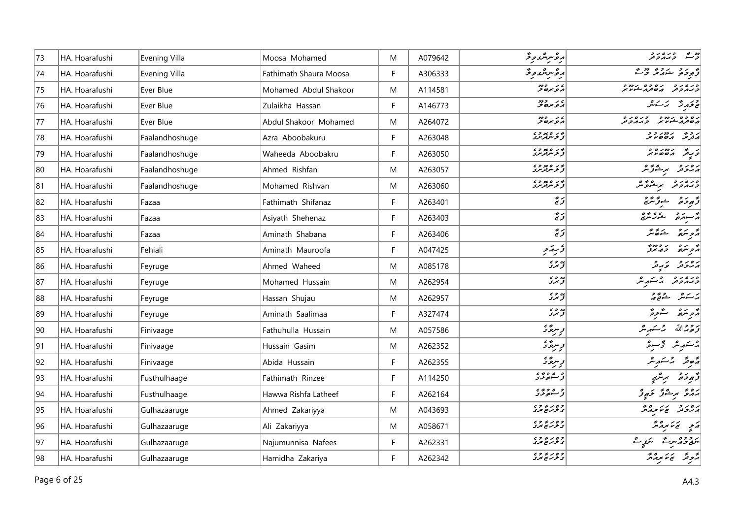| 73           | HA. Hoarafushi | Evening Villa  | Moosa Mohamed          | M         | A079642 | ىرە مىرى <i>شدە ب</i> ۇ                      | ووقع ورەرو                                                                                                                                                                                                                      |
|--------------|----------------|----------------|------------------------|-----------|---------|----------------------------------------------|---------------------------------------------------------------------------------------------------------------------------------------------------------------------------------------------------------------------------------|
| 74           | HA. Hoarafushi | Evening Villa  | Fathimath Shaura Moosa | F         | A306333 | ارە بىرىشدە بۇ                               | أزجوح والمرواة وواقع                                                                                                                                                                                                            |
| 75           | HA. Hoarafushi | Ever Blue      | Mohamed Abdul Shakoor  | ${\sf M}$ | A114581 | ג גם דבר<br>גם ינסיב                         | כנסני נסכם נמיד<br>קגהכת השתה ביות                                                                                                                                                                                              |
| 76           | HA. Hoarafushi | Ever Blue      | Zulaikha Hassan        | F         | A146773 | ے ر وود<br>גם <del>ب</del> رھ <del>ت</del> ر | ىم خەر شەك بەسكەنلەر                                                                                                                                                                                                            |
| 77           | HA. Hoarafushi | Ever Blue      | Abdul Shakoor Mohamed  | ${\sf M}$ | A264072 | ے رکھے تو دو<br>مرک <i>و تی</i> رہ تو        | ره وه ردو و ره رو<br>ג ه تر <i>ג شو بر ح ب</i> ر ح تر                                                                                                                                                                           |
| 78           | HA. Hoarafushi | Faalandhoshuge | Azra Aboobakuru        | F         | A263048 | ء ر ەيد د ،<br>تۆخ سرتىرىرى                  | נכש נחנפר                                                                                                                                                                                                                       |
| 79           | HA. Hoarafushi | Faalandhoshuge | Waheeda Aboobakru      | F         | A263050 | ء ر ەير د ،<br>توفرىترىرى                    | وبرقر بردوره و                                                                                                                                                                                                                  |
| 80           | HA. Hoarafushi | Faalandhoshuge | Ahmed Rishfan          | ${\sf M}$ | A263057 | ء ر ەير د ،<br>توفرىترىرى                    | رەرد برىشۇش                                                                                                                                                                                                                     |
| 81           | HA. Hoarafushi | Faalandhoshuge | Mohamed Rishvan        | M         | A263060 | ء ر ەير د ،<br>توفرىترىرى                    | ورەرو برخوش                                                                                                                                                                                                                     |
| 82           | HA. Hoarafushi | Fazaa          | Fathimath Shifanaz     | F         | A263401 | تریخ                                         | شەرگەنگە تە<br>ۇ ب <sub>و</sub> ر د                                                                                                                                                                                             |
| 83           | HA. Hoarafushi | Fazaa          | Asiyath Shehenaz       | F         | A263403 | ترتج                                         | پر<br>در سودره<br>ے <sup>ی</sup> مربع                                                                                                                                                                                           |
| 84           | HA. Hoarafushi | Fazaa          | Aminath Shabana        | F         | A263406 | ترتج                                         | شەھ ئىر<br>أرمز تر                                                                                                                                                                                                              |
| 85           | HA. Hoarafushi | Fehiali        | Aminath Mauroofa       | F         | A047425 | ۇ رېزىر                                      | ב הבי הברבי<br>גביתם, בגיבצ                                                                                                                                                                                                     |
| 86           | HA. Hoarafushi | Feyruge        | Ahmed Waheed           | M         | A085178 | در و د<br>توسر د                             | د ه د چه د کمپوټر                                                                                                                                                                                                               |
| 87           | HA. Hoarafushi | Feyruge        | Mohamed Hussain        | ${\sf M}$ | A262954 | ړے و بر<br>تو سری                            | ورەرو ئەسەر                                                                                                                                                                                                                     |
| 88           | HA. Hoarafushi | Feyruge        | Hassan Shujau          | M         | A262957 | ړے و پر<br>تو موری                           | ير کي شروح د                                                                                                                                                                                                                    |
| 89           | HA. Hoarafushi | Feyruge        | Aminath Saalimaa       | F         | A327474 | ړے و بر<br>تو سری                            | أأروبتهم ستوقر                                                                                                                                                                                                                  |
| $ 90\rangle$ | HA. Hoarafushi | Finivaage      | Fathuhulla Hussain     | ${\sf M}$ | A057586 | وسرځ ځ                                       | وحويرالله برسكوريش                                                                                                                                                                                                              |
| 91           | HA. Hoarafushi | Finivaage      | Hussain Gasim          | M         | A262352 | و سرچ <sup>ء</sup><br>تر سرچ                 | جەسكەر سىر قىلىنىشى تەرىپ بىر كەنتى بىر ئەنگەن كەنتى بىر ئەنگە بىر كەنتى بىر كەنتى بىر كەنتى بىر كەنتى بىر كەن<br>مەنتى بىر كەنتى بىر كەنتى بىر كەنتى بىر كەنتى بىر كەنتى بىر كەنتى بىر كەنتى بىر كەنتى بىر كەنتى بىر كەنتى بىر |
| 92           | HA. Hoarafushi | Finivaage      | Abida Hussain          | F         | A262355 | وسرځ ځ                                       | ړُهِ پُر سر پر                                                                                                                                                                                                                  |
| 93           | HA. Hoarafushi | Fusthulhaage   | Fathimath Rinzee       | F         | A114250 | د ۱۵۵۵ و.<br>تو سوچونو د                     | تواودة المرشي                                                                                                                                                                                                                   |
| 94           | HA. Hoarafushi | Fusthulhaage   | Hawwa Rishfa Latheef   | F         | A262164 | د ۱۵۶۵ و.<br>تو سومونۍ                       |                                                                                                                                                                                                                                 |
| 95           | HA. Hoarafushi | Gulhazaaruge   | Ahmed Zakariyya        | ${\sf M}$ | A043693 | و ہ مربر و ،<br>ى محرم تع بىرى               | גפני היותרית                                                                                                                                                                                                                    |
| 96           | HA. Hoarafushi | Gulhazaaruge   | Ali Zakariyya          | M         | A058671 | و ہ مر پر و ،<br>مح <b>رض بو</b> ر           | أوسم والمتعمد والمحمد                                                                                                                                                                                                           |
| 97           | HA. Hoarafushi | Gulhazaaruge   | Najumunnisa Nafees     | F         | A262331 | و ه ر پر و ،<br>د نژرنځ برو                  | بروده برت بروت<br>تروده برت بروت                                                                                                                                                                                                |
| 98           | HA. Hoarafushi | Gulhazaaruge   | Hamidha Zakariya       | F         | A262342 | و ہ مر پر و ،<br>مح <b>رض بو</b> ر           | ה כל ג'ור הי                                                                                                                                                                                                                    |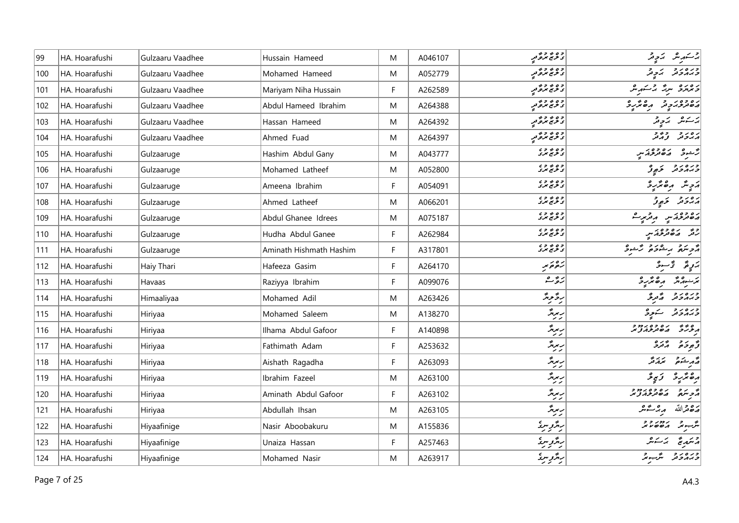| 99  | HA. Hoarafushi | Gulzaaru Vaadhee | Hussain Hameed          | M  | A046107 | وه و و و پر<br>  د څري مرمو پر                                                                                                                                                                                                 | جەسىمبە ئە <sub>ج</sub> ەتر                |
|-----|----------------|------------------|-------------------------|----|---------|--------------------------------------------------------------------------------------------------------------------------------------------------------------------------------------------------------------------------------|--------------------------------------------|
| 100 | HA. Hoarafushi | Gulzaaru Vaadhee | Mohamed Hameed          | M  | A052779 | و ه چ چ چې په کليمو کليمو په په کليمو په کليمو په کليمو کليمو کليمو کليمو کليمو کليمو کليمو کليمو کليمو کليمو<br>د کليمو کليمو کليمو کليمو کليمو کليمو کليمو کليمو کليمو کليمو کليمو کليمو کليمو کليمو کليمو کليمو کليمو کليمو | ورەرو بەرە                                 |
| 101 | HA. Hoarafushi | Gulzaaru Vaadhee | Mariyam Niha Hussain    | F. | A262589 | د ه و و و و پر                                                                                                                                                                                                                 | במתכנית הבינות                             |
| 102 | HA. Hoarafushi | Gulzaaru Vaadhee | Abdul Hameed Ibrahim    | M  | A264388 | وه و و و و.<br>  د نریځ مروگور                                                                                                                                                                                                 | גם כפגב הפיציב                             |
| 103 | HA. Hoarafushi | Gulzaaru Vaadhee | Hassan Hameed           | M  | A264392 | د ه پر د په                                                                                                                                                                                                                    | يز کے مرکز پر تر                           |
| 104 | HA. Hoarafushi | Gulzaaru Vaadhee | Ahmed Fuad              | M  | A264397 | و ه پر د محمد پر<br>د نومځ مرغ مړ                                                                                                                                                                                              | ره رح در د<br>مرکز و مرکز                  |
| 105 | HA. Hoarafushi | Gulzaaruge       | Hashim Abdul Gany       | M  | A043777 | و ه پر و ،<br>د نومځ مور                                                                                                                                                                                                       | ر ده ده دور پر                             |
| 106 | HA. Hoarafushi | Gulzaaruge       | Mohamed Latheef         | M  | A052800 | و ه پر و ،<br>د نومځ مرد                                                                                                                                                                                                       | ورەرو كەر                                  |
| 107 | HA. Hoarafushi | Gulzaaruge       | Ameena Ibrahim          | F. | A054091 | و ه پر و ،<br>د نومځ مرد                                                                                                                                                                                                       | أرَجِسٌ مِعْمَدِهِ                         |
| 108 | HA. Hoarafushi | Gulzaaruge       | Ahmed Latheef           | M  | A066201 | و ه پر و ء<br>د نومځ مور                                                                                                                                                                                                       | رەر ئەر                                    |
| 109 | HA. Hoarafushi | Gulzaaruge       | Abdul Ghanee Idrees     | M  | A075187 | و ه پر و ء<br>د نومځ مرد                                                                                                                                                                                                       | גם כפנית התיקים                            |
| 110 | HA. Hoarafushi | Gulzaaruge       | Hudha Abdul Ganee       | F  | A262984 | و ه پر و ،<br>د نومځ مرد                                                                                                                                                                                                       | وه ره ووړس                                 |
| 111 | HA. Hoarafushi | Gulzaaruge       | Aminath Hishmath Hashim | F  | A317801 | و ه پر و ،<br>د نومځ مرد                                                                                                                                                                                                       |                                            |
| 112 | HA. Hoarafushi | Haiy Thari       | Hafeeza Gasim           | F  | A264170 | رەرىر                                                                                                                                                                                                                          | برَوٍ پُن تَوَ -- دِ                       |
| 113 | HA. Hoarafushi | Havaas           | Raziyya Ibrahim         | F  | A099076 | ر پۇ ھ                                                                                                                                                                                                                         | ת בחירה תפתעים                             |
| 114 | HA. Hoarafushi | Himaaliyaa       | Mohamed Adil            | M  | A263426 | رۇمۇر                                                                                                                                                                                                                          | ورەر د ئېرنى                               |
| 115 | HA. Hoarafushi | Hiriyaa          | Mohamed Saleem          | M  | A138270 | ىر بىرەڭر<br>مە                                                                                                                                                                                                                | ورەرو سكود                                 |
| 116 | HA. Hoarafushi | Hiriyaa          | Ilhama Abdul Gafoor     | F  | A140898 | ىر بىر پىش                                                                                                                                                                                                                     | بروژڅ<br>ر ٥ ۶ ٥ ٥ روو و<br>پرڪ تعريبي تعر |
| 117 | HA. Hoarafushi | Hiriyaa          | Fathimath Adam          | F  | A253632 | ىر بىر پىش                                                                                                                                                                                                                     | پور ہ<br>مرکزو<br>توجو ځانو                |
| 118 | HA. Hoarafushi | Hiriyaa          | Aishath Ragadha         | F  | A263093 | ر بر پژ<br>ر                                                                                                                                                                                                                   | وأرجنني بمذكر                              |
| 119 | HA. Hoarafushi | Hiriyaa          | Ibrahim Fazeel          | M  | A263100 | ىر بىر دىگە<br>مە                                                                                                                                                                                                              | رەپرىر زېږ                                 |
| 120 | HA. Hoarafushi | Hiriyaa          | Aminath Abdul Gafoor    | F  | A263102 | ر بر پژ<br>ر                                                                                                                                                                                                                   | و سرد ده ده دود و                          |
| 121 | HA. Hoarafushi | Hiriyaa          | Abdullah Ihsan          | M  | A263105 | ر بودگر<br>مر                                                                                                                                                                                                                  | أرەقماللە مەر ئىگە                         |
| 122 | HA. Hoarafushi | Hiyaafinige      | Nasir Aboobakuru        | M  | A155836 | ىرەڭرو بىر <u>ى</u><br>مەسىر                                                                                                                                                                                                   | 52722                                      |
| 123 | HA. Hoarafushi | Hiyaafinige      | Unaiza Hassan           | F  | A257463 | <br>  برېژو مېرنگه                                                                                                                                                                                                             | ومئديح<br>برسەيىر                          |
| 124 | HA. Hoarafushi | Hiyaafinige      | Mohamed Nasir           | M  | A263917 | ىرەد ئوسرى                                                                                                                                                                                                                     | ورەرو شەر                                  |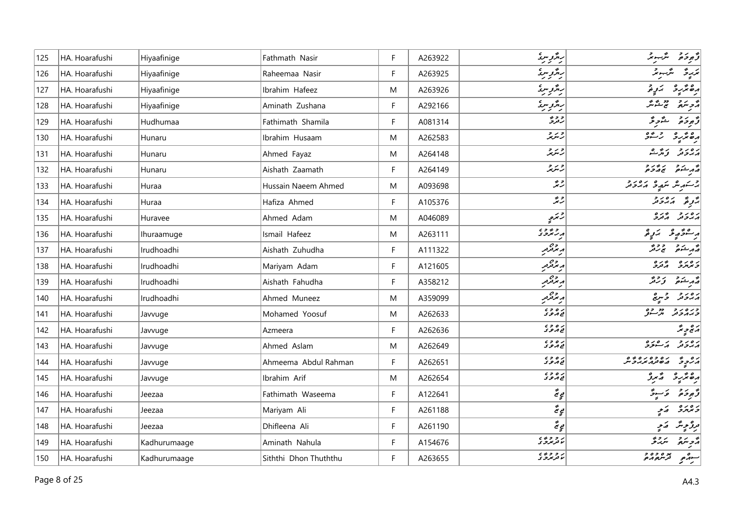| 125 | HA. Hoarafushi | Hiyaafinige  | Fathmath Nasir        | F         | A263922 | ىرەد ۋېرى <u>دى</u>                     | مترسونر<br>و مرد<br>افراد مرد م                        |
|-----|----------------|--------------|-----------------------|-----------|---------|-----------------------------------------|--------------------------------------------------------|
| 126 | HA. Hoarafushi | Hiyaafinige  | Raheemaa Nasir        | F         | A263925 | ىرەد ۋېرى                               | بزردة<br>مترجيه                                        |
| 127 | HA. Hoarafushi | Hiyaafinige  | Ibrahim Hafeez        | ${\sf M}$ | A263926 | ىر پۇ بورى<br>بە                        | وه ټرېږ<br>برَوٍ پُر                                   |
| 128 | HA. Hoarafushi | Hiyaafinige  | Aminath Zushana       | F         | A292166 | ىر پۇ بورى<br>بە                        | أأرمز<br>چڙ مٿر پٿر<br>مح                              |
| 129 | HA. Hoarafushi | Hudhumaa     | Fathimath Shamila     | F         | A081314 | و و په<br>ر ترو                         | ۇۋۇۋە شۇرۇ                                             |
| 130 | HA. Hoarafushi | Hunaru       | Ibrahim Husaam        | M         | A262583 | و بر و<br>رس                            | وە ئۈرۈ<br>رمعيق                                       |
| 131 | HA. Hoarafushi | Hunaru       | Ahmed Fayaz           | M         | A264148 | و بر و<br>رس                            | برەرد روت                                              |
| 132 | HA. Hoarafushi | Hunaru       | Aishath Zaamath       | F         | A264149 | حە ئەرىپە<br>مەنگەنلەر                  | أحد مشتور بالمحدود                                     |
| 133 | HA. Hoarafushi | Huraa        | Hussain Naeem Ahmed   | ${\sf M}$ | A093698 | رمجر                                    |                                                        |
| 134 | HA. Hoarafushi | Huraa        | Hafiza Ahmed          | F         | A105376 | رمجر                                    | أثروة أرورة                                            |
| 135 | HA. Hoarafushi | Huravee      | Ahmed Adam            | M         | A046089 | ترىخرەپە                                | بره رو به ره                                           |
| 136 | HA. Hoarafushi | Ihuraamuge   | Ismail Hafeez         | M         | A263111 | اړر څوده                                | برڪرديو پرياءِ                                         |
| 137 | HA. Hoarafushi | Irudhoadhi   | Aishath Zuhudha       | F         | A111322 | ويحوهور                                 | و در دور دور در در در میباشد.<br>در مرد شوه در سی مرکز |
| 138 | HA. Hoarafushi | Irudhoadhi   | Mariyam Adam          | F         | A121605 | ىر بردى<br>بر بىرتىرىپە                 | נסנס שנס                                               |
| 139 | HA. Hoarafushi | Irudhoadhi   | Aishath Fahudha       | F         | A358212 | ويحوهور                                 | أشهر مشتهى وكرفر                                       |
| 140 | HA. Hoarafushi | Irudhoadhi   | Ahmed Muneez          | ${\sf M}$ | A359099 | ىر بردى<br>بر بىرتىرىپە                 | رەرو وسرچ                                              |
| 141 | HA. Hoarafushi | Javvuge      | Mohamed Yoosuf        | M         | A262633 | ر ه و ء<br>قع پر پو ي                   | כנים ג'ב בכי<br><mark>כמו כל יול י</mark>              |
| 142 | HA. Hoarafushi | Javvuge      | Azmeera               | F         | A262636 | ر ه و ء<br>قع پر و ی                    | لرءحية                                                 |
| 143 | HA. Hoarafushi | Javvuge      | Ahmed Aslam           | M         | A262649 | ر ه و ء<br>ق پر و ي                     | גם גם גם גם                                            |
| 144 | HA. Hoarafushi | Javvuge      | Ahmeema Abdul Rahman  | F         | A262651 | ر ه و ء<br>ق مرو د                      | ر ٥ ۶ ٥ ٠ ٥ ٠ ٥<br>پرې تر پر بر تر س<br>تررىيە         |
| 145 | HA. Hoarafushi | Javvuge      | Ibrahim Arif          | ${\sf M}$ | A262654 | ره و ء<br>  ق پر و د                    | ە ھەترىرى<br>برھەترىرى<br>ە ئىمبرى                     |
| 146 | HA. Hoarafushi | Jeezaa       | Fathimath Waseema     | F         | A122641 | ي پخ                                    | وحجاجهم<br>ە ئەسىرىتى                                  |
| 147 | HA. Hoarafushi | Jeezaa       | Mariyam Ali           | F         | A261188 | م<br>مح <sup>م</sup> ح                  | ر ه ر ه<br>د بربرگ<br>ەتىر                             |
| 148 | HA. Hoarafushi | Jeezaa       | Dhifleena Ali         | F         | A261190 | ج تح                                    | مرو <sub>م</sub> پر مکم                                |
| 149 | HA. Hoarafushi | Kadhurumaage | Aminath Nahula        | F         | A154676 | ر و و د ،<br>ما تعریمر <del>و</del> ی   | أأرمز<br>سرويځ                                         |
| 150 | HA. Hoarafushi | Kadhurumaage | Siththi Dhon Thuththu | F         | A263655 | ر و و د د<br>ما تعریمر <del>ت</del> ر ی | داره دار ۱۶۵۶                                          |
|     |                |              |                       |           |         |                                         |                                                        |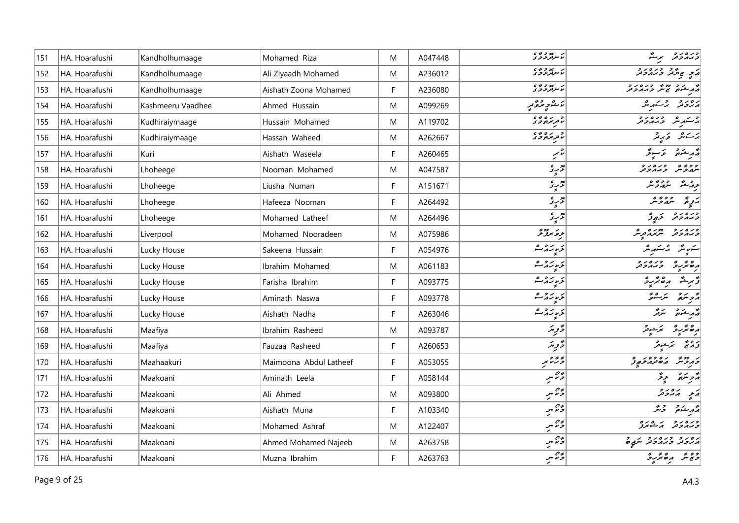| 151 | HA. Hoarafushi | Kandholhumaage    | Mohamed Riza           | M  | A047448 | ر سو و د د<br>را سربر و د                 | وره رو برگ                                             |
|-----|----------------|-------------------|------------------------|----|---------|-------------------------------------------|--------------------------------------------------------|
| 152 | HA. Hoarafushi | Kandholhumaage    | Ali Ziyaadh Mohamed    | M  | A236012 | ر پر دی۔<br>ما سربرتر ت                   | ג׳בְ הַתְצֹב בְּנוּ בְּב                               |
| 153 | HA. Hoarafushi | Kandholhumaage    | Aishath Zoona Mohamed  | F  | A236080 | ر سو و د د<br>ما سربر و د                 | و مشترد دوره دره در د                                  |
| 154 | HA. Hoarafushi | Kashmeeru Vaadhee | Ahmed Hussain          | M  | A099269 | ر کے دیے تعریف کے مالک<br>مناسب کے مناسبے | ره رو ورد ه                                            |
| 155 | HA. Hoarafushi | Kudhiraiymaage    | Hussain Mohamed        | M  | A119702 | د بره ده<br>  ما تربره ژ د                | ج سکه شده و بره در و                                   |
| 156 | HA. Hoarafushi | Kudhiraiymaage    | Hassan Waheed          | M  | A262667 | د پره وي<br>  پاسرمرو وي                  | بر سەش <sub>ھەيدى</sub> ر                              |
| 157 | HA. Hoarafushi | Kuri              | Aishath Waseela        | F  | A260465 | تتمبر                                     | أقهر مشكاة المتحر سوقر                                 |
| 158 | HA. Hoarafushi | Lhoheege          | Nooman Mohamed         | M  | A047587 | پو ري<br>غرب <sub>و</sub> نه              | ככשם כנסגב<br>יינגבית בגגבת                            |
| 159 | HA. Hoarafushi | Lhoheege          | Liusha Numan           | F. | A151671 | بو<br>غربې د                              | سرد و عبر<br>حەر ئىسىگە                                |
| 160 | HA. Hoarafushi | Lhoheege          | Hafeeza Nooman         | F  | A264492 | پور ۽<br>عربي ت                           | پَرۡ یِمۡ مِیۡ مِیۡ مِیۡ مِ                            |
| 161 | HA. Hoarafushi | Lhoheege          | Mohamed Latheef        | M  | A264496 | بو<br>ئورىي<br>ئ                          | ورەرد كەبى                                             |
| 162 | HA. Hoarafushi | Liverpool         | Mohamed Nooradeen      | M  | A075986 | المجان المعجز                             | وره رو دوره و<br><i>د بد</i> رونر سربرمرس              |
| 163 | HA. Hoarafushi | Lucky House       | Sakeena Hussain        | F  | A054976 | الخربية بمعتقبة                           | اسىر بىر قى ئەسكىر بىر                                 |
| 164 | HA. Hoarafushi | Lucky House       | Ibrahim Mohamed        | M  | A061183 | ئەر <i>ىر ئەر</i> م                       | הפתיכ במהכת                                            |
| 165 | HA. Hoarafushi | Lucky House       | Farisha Ibrahim        | F  | A093775 | ىخ پە ئەچرىشە<br>م                        | ۇبرىش رەترىرو                                          |
| 166 | HA. Hoarafushi | Lucky House       | Aminath Naswa          | F. | A093778 | ى <i>خ بەر بەر</i> م                      |                                                        |
| 167 | HA. Hoarafushi | Lucky House       | Aishath Nadha          | F. | A263046 | ئەر <i>ىرى</i> ئەرق                       | أقدم ويستحق الترقير                                    |
| 168 | HA. Hoarafushi | Maafiya           | Ibrahim Rasheed        | M  | A093787 | د و د کر                                  | رە ئرىر ئىسىمى ئى                                      |
| 169 | HA. Hoarafushi | Maafiya           | Fauzaa Rasheed         | F  | A260653 | د و بر<br>م                               | $rac{2}{5}$                                            |
| 170 | HA. Hoarafushi | Maahaakuri        | Maimoona Abdul Latheef | F  | A053055 | وَرَحْمَعَ مِرِ                           | C CCC COLOR COLO                                       |
| 171 | HA. Hoarafushi | Maakoani          | Aminath Leela          | F  | A058144 | و مهمبر<br>مر                             | أزويتم ويجر                                            |
| 172 | HA. Hoarafushi | Maakoani          | Ali Ahmed              | M  | A093800 | وتنتمبر                                   | أوسم بره رد                                            |
| 173 | HA. Hoarafushi | Maakoani          | Aishath Muna           | F  | A103340 | و په هېد<br>د کامبر                       | أمام ينسموا التحامل                                    |
| 174 | HA. Hoarafushi | Maakoani          | Mohamed Ashraf         | M  | A122407 | و مهمبر<br>حرمانبر                        | وره رو بر ۱۵ ده<br>وبردونو بر شوبرو                    |
| 175 | HA. Hoarafushi | Maakoani          | Ahmed Mohamed Najeeb   | Μ  | A263758 | و مهمبر<br>حرمانبر                        | ر 2 در 10 در 2 در مربع 2<br>ג بر 3 د بر بر 3 در مربع 2 |
| 176 | HA. Hoarafushi | Maakoani          | Muzna Ibrahim          | F  | A263763 | و په هېد<br>د ت                           | ويمش مقترره                                            |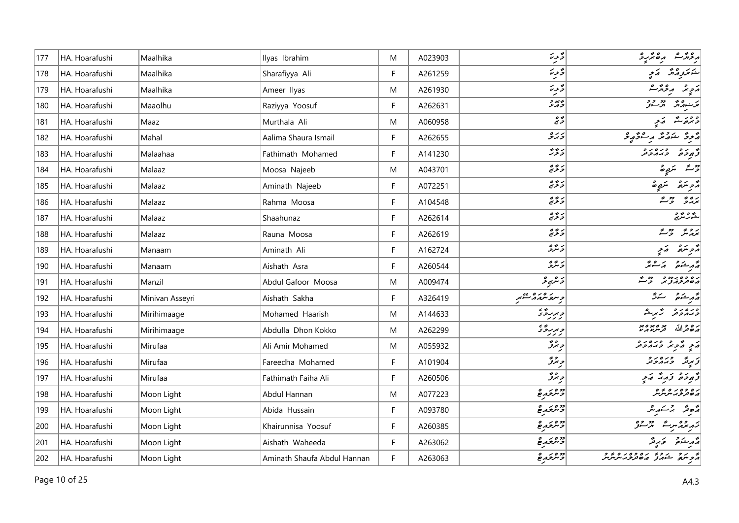| 177 | HA. Hoarafushi | Maalhika        | Ilyas Ibrahim               | M         | A023903 | ۇ بەر<br>م                                         | ەرھەترىر <sup>ى</sup><br>اروژگر                |
|-----|----------------|-----------------|-----------------------------|-----------|---------|----------------------------------------------------|------------------------------------------------|
| 178 | HA. Hoarafushi | Maalhika        | Sharafiyya Ali              | F         | A261259 | ۇ رىدىكە<br>مەس                                    | خنوره تر المن                                  |
| 179 | HA. Hoarafushi | Maalhika        | Ameer Ilyas                 | M         | A261930 | ځ مونهٔ<br>حر                                      | ړ ده مروژگ                                     |
| 180 | HA. Hoarafushi | Maaolhu         | Raziyya Yoosuf              | F         | A262631 | پر پر و<br>و پر نو                                 | بر شوره ده اور دو                              |
| 181 | HA. Hoarafushi | Maaz            | Murthala Ali                | ${\sf M}$ | A060958 | $\overset{o}{\mathscr{E}}\overset{o}{\mathscr{S}}$ | دور محمد مکم                                   |
| 182 | HA. Hoarafushi | Mahal           | Aalima Shaura Ismail        | F         | A262655 | ۇبرۇ                                               | ړو ځمړنه ره د د                                |
| 183 | HA. Hoarafushi | Malaahaa        | Fathimath Mohamed           | F         | A141230 | رژژ                                                | و ره ر و<br>تر بر رو تر<br>و مر د<br>تر مور مو |
| 184 | HA. Hoarafushi | Malaaz          | Moosa Najeeb                | M         | A043701 | ترڅي                                               | تزئے سربے صح                                   |
| 185 | HA. Hoarafushi | Malaaz          | Aminath Najeeb              | F         | A072251 | ترڅې                                               |                                                |
| 186 | HA. Hoarafushi | Malaaz          | Rahma Moosa                 | F         | A104548 | ترڅرنځ                                             | بره پچ<br>دو مح                                |
| 187 | HA. Hoarafushi | Malaaz          | Shaahunaz                   | F         | A262614 | ر ژه<br>د ژه                                       | شەر ئەر                                        |
| 188 | HA. Hoarafushi | Malaaz          | Rauna Moosa                 | F         | A262619 | ترمج ہ                                             | دومشر<br>بردير                                 |
| 189 | HA. Hoarafushi | Manaam          | Aminath Ali                 | F         | A162724 | تر شرو                                             | أأدمني أأبر                                    |
| 190 | HA. Hoarafushi | Manaam          | Aishath Asra                | F         | A260544 | ىر شرە                                             | وأمرشتم وأرائح                                 |
| 191 | HA. Hoarafushi | Manzil          | Abdul Gafoor Moosa          | M         | A009474 | ئەش <sub>ىر</sub> ۋ                                | נס כסנכבר כבר.<br>הסטניבה צייר                 |
| 192 | HA. Hoarafushi | Minivan Asseyri | Aishath Sakha               | F         | A326419 | ج سرنو مهم ده عم                                   | أقهر منصور المستورثة                           |
| 193 | HA. Hoarafushi | Mirihimaage     | Mohamed Haarish             | ${\sf M}$ | A144633 | ا د برر دی<br>ار برر دی                            | ورەرو گىرگ                                     |
| 194 | HA. Hoarafushi | Mirihimaage     | Abdulla Dhon Kokko          | M         | A262299 | ا و بور و ء<br>اب بور و د                          | بو ه بو ه بو<br>ترس د ر<br>برە تراللە          |
| 195 | HA. Hoarafushi | Mirufaa         | Ali Amir Mohamed            | M         | A055932 | جرىمرتز                                            | أيمو المرد وبرورو                              |
| 196 | HA. Hoarafushi | Mirufaa         | Fareedha Mohamed            | F         | A101904 | حرىمرتز                                            | ترىرى درەرد                                    |
| 197 | HA. Hoarafushi | Mirufaa         | Fathimath Faiha Ali         | F         | A260506 | حرىمرتز                                            | وتودة ورثا أو                                  |
| 198 | HA. Hoarafushi | Moon Light      | Abdul Hannan                | M         | A077223 | وده ره<br>د سر <sub>خرار</sub> ه                   | ره وه ره مره<br>مەھىرىس سرس                    |
| 199 | HA. Hoarafushi | Moon Light      | Abida Hussain               | F         | A093780 | وده پر ه                                           | أقاصر فالمتسر مثر                              |
| 200 | HA. Hoarafushi | Moon Light      | Khairunnisa Yoosuf          | F         | A260385 | وده پر ه                                           | ئەر بۇرۇس ئەسىر مەر دە<br>ئ                    |
| 201 | HA. Hoarafushi | Moon Light      | Aishath Waheeda             | F         | A263062 | لتشريخهم                                           | ومدينة ورقر                                    |
| 202 | HA. Hoarafushi | Moon Light      | Aminath Shaufa Abdul Hannan | F         | A263063 | روموبر ۾                                           | ه د د د د د د د د د د د و د د                  |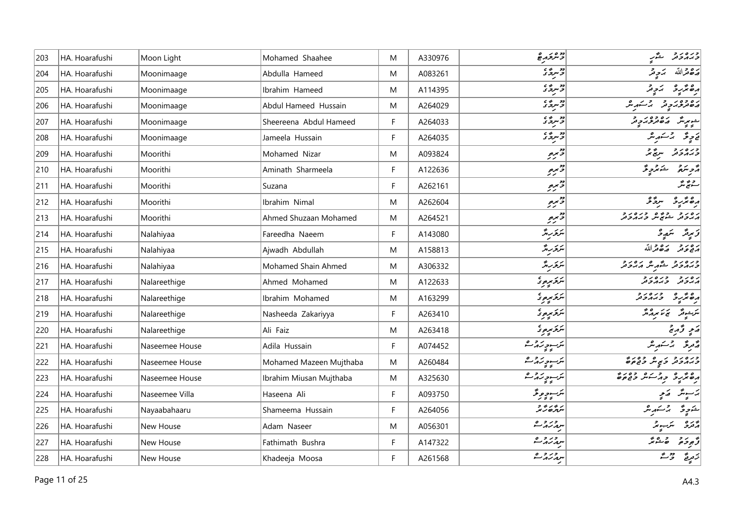| 203 | HA. Hoarafushi | Moon Light     | Mohamed Shaahee         | ${\sf M}$ | A330976 | دوم در ه                   | 3 د بر 2 د مر<br>ے گھرے                                                                                                                                                                                                          |
|-----|----------------|----------------|-------------------------|-----------|---------|----------------------------|----------------------------------------------------------------------------------------------------------------------------------------------------------------------------------------------------------------------------------|
| 204 | HA. Hoarafushi | Moonimaage     | Abdulla Hameed          | M         | A083261 | دو په په<br> د سرچ ی       | أصفحتهالله بحرجته                                                                                                                                                                                                                |
| 205 | HA. Hoarafushi | Moonimaage     | Ibrahim Hameed          | M         | A114395 | ادو سرچ <sub>ی</sub>       | رە ئرىر ئىچى                                                                                                                                                                                                                     |
| 206 | HA. Hoarafushi | Moonimaage     | Abdul Hameed Hussain    | M         | A264029 | חי<br>קייקבצ               | גם כסן כל גלותיות                                                                                                                                                                                                                |
| 207 | HA. Hoarafushi | Moonimaage     | Sheereena Abdul Hameed  | F         | A264033 | دو په په<br>د سرچنې        | شومرس م2000 و م                                                                                                                                                                                                                  |
| 208 | HA. Hoarafushi | Moonimaage     | Jameela Hussain         | F         | A264035 | دو<br>ترسرچری              | ى جۇ ئەسىر مەر                                                                                                                                                                                                                   |
| 209 | HA. Hoarafushi | Moorithi       | Mohamed Nizar           | ${\sf M}$ | A093824 | ود<br>ترسمر مر             |                                                                                                                                                                                                                                  |
| 210 | HA. Hoarafushi | Moorithi       | Aminath Sharmeela       | F         | A122636 | ود<br>ترسمر مر             | شە ئەرىر ئۇ<br>أروسي                                                                                                                                                                                                             |
| 211 | HA. Hoarafushi | Moorithi       | Suzana                  | F         | A262161 | دد<br>تر <sub>مرجو</sub>   | ر جو پي <sub>گ</sub>                                                                                                                                                                                                             |
| 212 | HA. Hoarafushi | Moorithi       | Ibrahim Nimal           | M         | A262604 | ود<br>ترسمر مر             | رەترىر سردى                                                                                                                                                                                                                      |
| 213 | HA. Hoarafushi | Moorithi       | Ahmed Shuzaan Mohamed   | M         | A264521 | دد<br>ترسمر مر             | رەر د دەھ درەر د<br>مەدوس خەنجىر دىمەدوس                                                                                                                                                                                         |
| 214 | HA. Hoarafushi | Nalahiyaa      | Fareedha Naeem          | F         | A143080 | يتزبخر بثر                 | وَ يَرِمَّرُ - يَرْيَرِ وَ                                                                                                                                                                                                       |
| 215 | HA. Hoarafushi | Nalahiyaa      | Ajwadh Abdullah         | ${\sf M}$ | A158813 | يئر پخرېد پېژ              | مقومر مقدالله                                                                                                                                                                                                                    |
| 216 | HA. Hoarafushi | Nalahiyaa      | Mohamed Shain Ahmed     | M         | A306332 | يترىخرىدىخر                | ورەرو شەرش كەرورو                                                                                                                                                                                                                |
| 217 | HA. Hoarafushi | Nalareethige   | Ahmed Mohamed           | M         | A122633 | ىگە ئەسىرە ئە<br>ئەسىر     | ג פגב בג פגב<br>גגבע בגגבע                                                                                                                                                                                                       |
| 218 | HA. Hoarafushi | Nalareethige   | Ibrahim Mohamed         | M         | A163299 | ىئر ئۆسرە ئ                |                                                                                                                                                                                                                                  |
| 219 | HA. Hoarafushi | Nalareethige   | Nasheeda Zakariyya      | F         | A263410 | ىئر ئۆسرە ئ                | ו בל מי מי היותר ביותר ביותר ביותר ביותר ביותר ביותר ביותר ביותר ביותר ביותר ביותר ביותר ביותר ביותר ביותר ביו<br>היום היום ביותר ביותר ביותר ביותר ביותר ביותר ביותר ביותר ביותר ביותר ביותר ביותר ביותר ביותר ביותר ביותר ביות |
| 220 | HA. Hoarafushi | Nalareethige   | Ali Faiz                | M         | A263418 | ىر ئەسرە ئ                 | ړنو ژُړی                                                                                                                                                                                                                         |
| 221 | HA. Hoarafushi | Naseemee House | Adila Hussain           | F         | A074452 | ىئەسى <sub>دى</sub> رىدىشە | ۇيرۇ باشىرىش                                                                                                                                                                                                                     |
| 222 | HA. Hoarafushi | Naseemee House | Mohamed Mazeen Mujthaba | M         | A260484 | ىئەسىرىرىدىشە<br>ئ         | ورەر دېرې مرده ده.<br>د برماد ترې مرکز د تامون                                                                                                                                                                                   |
| 223 | HA. Hoarafushi | Naseemee House | Ibrahim Miusan Mujthaba | M         | A325630 |                            |                                                                                                                                                                                                                                  |
| 224 | HA. Hoarafushi | Naseemee Villa | Haseena Ali             | F         | A093750 | ىئرسوچە بۇ                 | يرسونتي الأمج                                                                                                                                                                                                                    |
| 225 | HA. Hoarafushi | Nayaabahaaru   | Shameema Hussain        | F         | A264056 | ر د د د و<br>سرگرځ تر      | خور بالتمرير                                                                                                                                                                                                                     |
| 226 | HA. Hoarafushi | New House      | Adam Naseer             | ${\sf M}$ | A056301 | سدىردە                     | پەرە<br>مەنىرى<br>ىئزىب تر                                                                                                                                                                                                       |
| 227 | HA. Hoarafushi | New House      | Fathimath Bushra        | F         | A147322 | سدىردە                     | ە ئەيەتىر<br>ۇ بوخ م                                                                                                                                                                                                             |
| 228 | HA. Hoarafushi | New House      | Khadeeja Moosa          | F         | A261568 | ابرويزه                    | رَمْرِجٌ وَ" ک                                                                                                                                                                                                                   |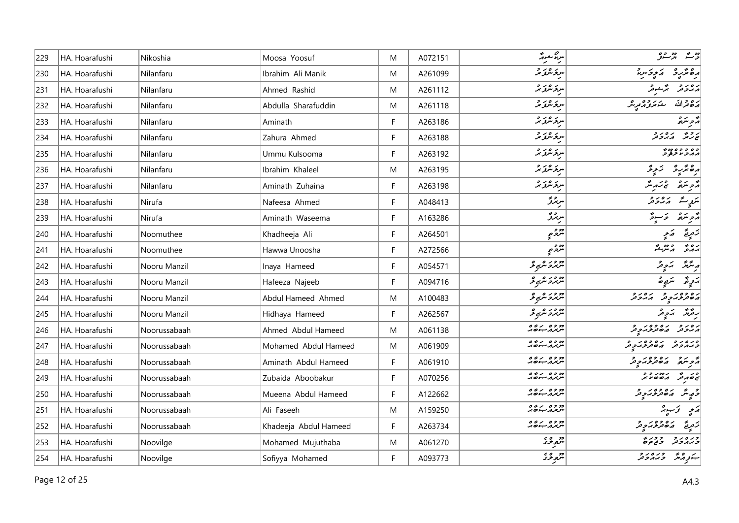| 229 | HA. Hoarafushi | Nikoshia     | Moosa Yoosuf          | M         | A072151 | سرین شورمج<br>سرینا شورمج                 | ېز يەرە<br>دی مشک                                       |
|-----|----------------|--------------|-----------------------|-----------|---------|-------------------------------------------|---------------------------------------------------------|
| 230 | HA. Hoarafushi | Nilanfaru    | Ibrahim Ali Manik     | M         | A261099 | سرنۇ سۇ ئىر                               | ە ھەترىر <sup>ە</sup>                                   |
| 231 | HA. Hoarafushi | Nilanfaru    | Ahmed Rashid          | M         | A261112 | سرىۋىشرىر 2                               | پرور و<br>بخرشە تۈ<br>مۈسىسە تۈ                         |
| 232 | HA. Hoarafushi | Nilanfaru    | Abdulla Sharafuddin   | M         | A261118 | سرىۋىشرىر 2                               | شە ئىروم قىرىش<br>برە برالله                            |
| 233 | HA. Hoarafushi | Nilanfaru    | Aminath               | F         | A263186 | البرىزىندىزىز                             | أرمز                                                    |
| 234 | HA. Hoarafushi | Nilanfaru    | Zahura Ahmed          | F         | A263188 | سرىۋىشرىر 2                               | بروی<br>ەر دەر                                          |
| 235 | HA. Hoarafushi | Nilanfaru    | Ummu Kulsooma         | F         | A263192 | سرىچە شرىر 2                              | و ۵ و و ۵ وويو<br>۱۸ ۱۸ رسم مونوک                       |
| 236 | HA. Hoarafushi | Nilanfaru    | Ibrahim Khaleel       | ${\sf M}$ | A263195 | سرىۋىدىر 2                                | رەپزىر ئېچى                                             |
| 237 | HA. Hoarafushi | Nilanfaru    | Aminath Zuhaina       | F         | A263198 | سرىۋىشرىر 2                               | و من المستخدم                                           |
| 238 | HA. Hoarafushi | Nirufa       | Nafeesa Ahmed         | F         | A048413 | سرىزۇ                                     | بر ٥ پر و<br>م <i>ر</i> بر <del>و</del> تر<br>سَموٍےً   |
| 239 | HA. Hoarafushi | Nirufa       | Aminath Waseema       | F         | A163286 | سرچری                                     | أروبترة<br>ە ئەسىرىتى                                   |
| 240 | HA. Hoarafushi | Noomuthee    | Khadheeja Ali         | F         | A264501 | ببرد م                                    | ئرَمَرِيَّ<br>پ<br>ەتىر                                 |
| 241 | HA. Hoarafushi | Noomuthee    | Hawwa Unoosha         | F         | A272566 | يزدمج                                     | $rac{20}{200}$<br>ر ديو په مخ                           |
| 242 | HA. Hoarafushi | Nooru Manzil | Inaya Hameed          | F         | A054571 | در در در در در د                          | ى <i>يەنىڭ بەچ</i> تر                                   |
| 243 | HA. Hoarafushi | Nooru Manzil | Hafeeza Najeeb        | F         | A094716 | دد در ه<br>مربر د مربع نو                 | پَرُوٍ هُمْ - سَرُمٍ هُ                                 |
| 244 | HA. Hoarafushi | Nooru Manzil | Abdul Hameed Ahmed    | M         | A100483 | دو در ه عربه ی<br>سر <i>مر</i> بر مربع نژ | גם כם ג'ם ג'ם ברי<br>ג'סינקי ביקר ג' הריב               |
| 245 | HA. Hoarafushi | Nooru Manzil | Hidhaya Hameed        | F         | A262567 | دو در عربه ع                              | رِمَّرْ مَرَّ مِرْ مِرْ                                 |
| 246 | HA. Hoarafushi | Noorussabaah | Ahmed Abdul Hameed    | M         | A061138 | دد و ه د بر ده و<br>سرچر ښونځه            | رەر دە دەرەر د                                          |
| 247 | HA. Hoarafushi | Noorussabaah | Mohamed Abdul Hameed  | M         | A061909 | دد و ه بر ده ه<br>سرپر پرستون             | وره رو ده وه رو<br><i>وب</i> رمرفر مان فر <i>وبر</i> ېږ |
| 248 | HA. Hoarafushi | Noorussabaah | Aminath Abdul Hameed  | F         | A061910 | دد د ه د ر پره<br>سرچه ښونه پر            | ړ ه د ور د د<br>ومحر سنرو                               |
| 249 | HA. Hoarafushi | Noorussabaah | Zubaida Aboobakur     | F         | A070256 | دد و ه پر ده ه<br>سربو پرسونه             | 77/77/7<br>ح ئەمرىگە                                    |
| 250 | HA. Hoarafushi | Noorussabaah | Mueena Abdul Hameed   | F         | A122662 | دد و ه بر ده ه<br>سرپور ښونه ر            | لترميته<br>ړ ۵۶۵ و د د                                  |
| 251 | HA. Hoarafushi | Noorussabaah | Ali Faseeh            | ${\sf M}$ | A159250 | دد د ه د ر پره<br>سرچه ښونه پر            | أنذي أوسيك                                              |
| 252 | HA. Hoarafushi | Noorussabaah | Khadeeja Abdul Hameed | F         | A263734 | دد و ه بر ده ه<br>سرپور ښونه پر           | ر ه د و د بر د<br>پره ترنوبر د تر<br>نزىرىقح            |
| 253 | HA. Hoarafushi | Noovilge     | Mohamed Mujuthaba     | M         | A061270 | چوپر 2 ء<br>سر <sub>کلو</sub> پو          | و ر ه ر و<br>و پر پر تر<br>و و ر پر<br>تر نع حی         |
| 254 | HA. Hoarafushi | Noovilge     | Sofiyya Mohamed       | F         | A093773 | يز <sub>حو</sub> لونه                     | התנגיל בגם גב                                           |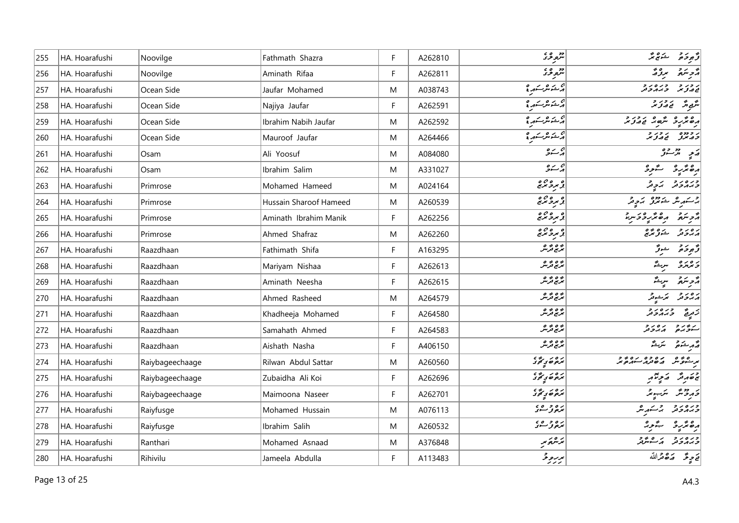| 255 | HA. Hoarafushi | Noovilge        | Fathmath Shazra        | F         | A262810 | دو ه ،<br>سر <sub>گر</sub> و د                                                                                                                                                                                                                                                                                                     | ے بچ بگر<br>ا تژ <sub>جو حر</sub> مو<br>ا                 |
|-----|----------------|-----------------|------------------------|-----------|---------|------------------------------------------------------------------------------------------------------------------------------------------------------------------------------------------------------------------------------------------------------------------------------------------------------------------------------------|-----------------------------------------------------------|
| 256 | HA. Hoarafushi | Noovilge        | Aminath Rifaa          | F         | A262811 | دو ه ،<br>مر <sub>جو</sub> نو د                                                                                                                                                                                                                                                                                                    | و څخه سرچ<br>بروژ                                         |
| 257 | HA. Hoarafushi | Ocean Side      | Jaufar Mohamed         | ${\sf M}$ | A038743 | پر یئے م <sub>یرے م</sub> ی                                                                                                                                                                                                                                                                                                        | و رە ر د<br><i>د بر</i> گەر<br>ر ور و<br>ق <i>ه</i> تو تر |
| 258 | HA. Hoarafushi | Ocean Side      | Najiya Jaufar          | F         | A262591 | ە ئەئە ئىرىسىدە يە                                                                                                                                                                                                                                                                                                                 | ىترىجە تر<br>ى <i>ھاۋى</i> تر                             |
| 259 | HA. Hoarafushi | Ocean Side      | Ibrahim Nabih Jaufar   | ${\sf M}$ | A262592 | $\begin{bmatrix} 0 & 0 & 0 \\ 0 & 0 & 0 \\ 0 & 0 & 0 \\ 0 & 0 & 0 \\ 0 & 0 & 0 \\ 0 & 0 & 0 \\ 0 & 0 & 0 \\ 0 & 0 & 0 \\ 0 & 0 & 0 \\ 0 & 0 & 0 \\ 0 & 0 & 0 \\ 0 & 0 & 0 \\ 0 & 0 & 0 \\ 0 & 0 & 0 \\ 0 & 0 & 0 & 0 \\ 0 & 0 & 0 & 0 \\ 0 & 0 & 0 & 0 \\ 0 & 0 & 0 & 0 \\ 0 & 0 & 0 & 0 & 0 \\ 0 & 0 & 0 & 0 & 0 \\ 0 & 0 & 0 & $ | معترد شهد مددد                                            |
| 260 | HA. Hoarafushi | Ocean Side      | Mauroof Jaufar         | M         | A264466 | ار شه شر شهر ؟<br>مشاه شهر استان                                                                                                                                                                                                                                                                                                   | ر و دوه<br>د پر برتۍ<br>ر ور و<br>ق پر تو تر              |
| 261 | HA. Hoarafushi | Osam            | Ali Yoosuf             | M         | A084080 | ہ یہ ہ<br>مرسستر                                                                                                                                                                                                                                                                                                                   | أەسم بىر جوم                                              |
| 262 | HA. Hoarafushi | Osam            | Ibrahim Salim          | ${\sf M}$ | A331027 | ەر يەە                                                                                                                                                                                                                                                                                                                             | ەرھەترىر <sup>ى</sup><br>ستمعرو                           |
| 263 | HA. Hoarafushi | Primrose        | Mohamed Hameed         | M         | A024164 | ومروحهم                                                                                                                                                                                                                                                                                                                            |                                                           |
| 264 | HA. Hoarafushi | Primrose        | Hussain Sharoof Hameed | M         | A260539 | إدبروندج                                                                                                                                                                                                                                                                                                                           | ج سے مرکز کے برگے ترکی                                    |
| 265 | HA. Hoarafushi | Primrose        | Aminath Ibrahim Manik  | F         | A262256 | ه په ده مړه<br>بر سرچينې                                                                                                                                                                                                                                                                                                           |                                                           |
| 266 | HA. Hoarafushi | Primrose        | Ahmed Shafraz          | M         | A262260 | ه برو نړ <sub>ی</sub>                                                                                                                                                                                                                                                                                                              | ەر ئەر<br>شەر ئەرە<br>شەر ئىرى                            |
| 267 | HA. Hoarafushi | Raazdhaan       | Fathimath Shifa        | F         | A163295 | پر ہ پر ہ<br>بریح تئر مثر                                                                                                                                                                                                                                                                                                          | و مر د<br>اقرامو خانو<br>سندوگر                           |
| 268 | HA. Hoarafushi | Raazdhaan       | Mariyam Nishaa         | F         | A262613 | پر صحیح متر متر                                                                                                                                                                                                                                                                                                                    | ر ه پر ه<br><del>د</del> بربرگ<br>سرشگ                    |
| 269 | HA. Hoarafushi | Raazdhaan       | Aminath Neesha         | F         | A262615 | پره پر ه<br>مربع تر مر                                                                                                                                                                                                                                                                                                             | سرينگر<br>پر<br>أثرحر سنرو                                |
| 270 | HA. Hoarafushi | Raazdhaan       | Ahmed Rasheed          | ${\sf M}$ | A264579 | پره پر ه<br>مربع تر مر                                                                                                                                                                                                                                                                                                             | رەر تەرىپىدىگە<br>مەركى تەشى                              |
| 271 | HA. Hoarafushi | Raazdhaan       | Khadheeja Mohamed      | F         | A264580 | پر ہ پر ہ<br>بریح تئر مثر                                                                                                                                                                                                                                                                                                          | كزيرة ورەرد                                               |
| 272 | HA. Hoarafushi | Raazdhaan       | Samahath Ahmed         | F         | A264583 | پر ہ پر ہ<br>بریح تئر مثر                                                                                                                                                                                                                                                                                                          | ر په د د<br>سون پره<br>پروژو                              |
| 273 | HA. Hoarafushi | Raazdhaan       | Aishath Nasha          | F         | A406150 | پره پر ه<br>مربع تر مر                                                                                                                                                                                                                                                                                                             | أمار مشكاة المستركبة                                      |
| 274 | HA. Hoarafushi | Raiybageechaage | Rilwan Abdul Sattar    | ${\sf M}$ | A260560 | <br>  پرهونه <sub>کو</sub> په کا                                                                                                                                                                                                                                                                                                   | ره وه ره دو.<br>پره ترور شوره تر<br>مرشەۋىتر              |
| 275 | HA. Hoarafushi | Raiybageechaage | Zubaidha Ali Koi       | F         | A262696 | بره د په په د<br>مرکزه <sub>کو</sub> کړې                                                                                                                                                                                                                                                                                           | ح ئەمرىگە<br>ئ<br>ەئەچەتىر                                |
| 276 | HA. Hoarafushi | Raiybageechaage | Maimoona Naseer        | F         | A262701 | بره د په دي.<br>مرکزه <sub>د ک</sub> رد                                                                                                                                                                                                                                                                                            | ى دەپتىر<br>ىئەسىرىمە                                     |
| 277 | HA. Hoarafushi | Raiyfusge       | Mohamed Hussain        | ${\sf M}$ | A076113 | ر ه د ه ه<br>بروز سوړ                                                                                                                                                                                                                                                                                                              | و ر ه ر د<br>د بر پر تر<br>برسەمەرىش                      |
| 278 | HA. Hoarafushi | Raiyfusge       | Ibrahim Salih          | ${\sf M}$ | A260532 | ر ه د ه ه<br>بروز سوړ                                                                                                                                                                                                                                                                                                              | ەر ھەترىر <i>3</i><br>سِدَّورُ                            |
| 279 | HA. Hoarafushi | Ranthari        | Mohamed Asnaad         | M         | A376848 | برمريم                                                                                                                                                                                                                                                                                                                             | و ر ه ر و<br><i>و پر</i> پر تر<br>ىر ئەشرىتر              |
| 280 | HA. Hoarafushi | Rihivilu        | Jameela Abdulla        | F         | A113483 | ابرره و څه<br><u>سر</u>                                                                                                                                                                                                                                                                                                            | تحريح صكاة الله                                           |
|     |                |                 |                        |           |         |                                                                                                                                                                                                                                                                                                                                    |                                                           |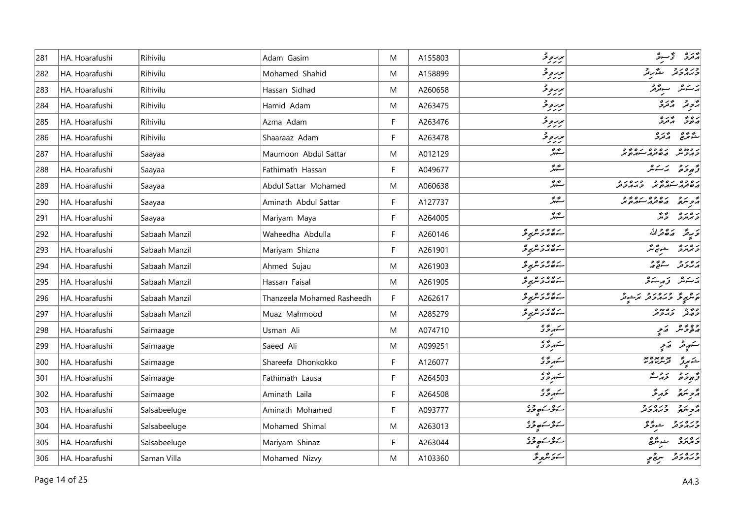| 281 | HA. Hoarafushi | Rihivilu      | Adam Gasim                 | M         | A155803 | ا پر رو تر<br><u>در ر</u>     | وره ڏڻو                                               |
|-----|----------------|---------------|----------------------------|-----------|---------|-------------------------------|-------------------------------------------------------|
| 282 | HA. Hoarafushi | Rihivilu      | Mohamed Shahid             | M         | A158899 | ا پر رو ژ<br><u>بر ر</u> و ژ  | و ر ه ر و<br><i>و ټ</i> هرو تر<br>ستەرىر              |
| 283 | HA. Hoarafushi | Rihivilu      | Hassan Sidhad              | M         | A260658 | ىرر ە قر<br>ئرىر ئر           | ىزىسەش سون <i>ۇ</i> تر                                |
| 284 | HA. Hoarafushi | Rihivilu      | Hamid Adam                 | M         | A263475 | ابرره و<br><u>رر ر</u>        | پور ہ<br>مرتزو<br>برٌوتر                              |
| 285 | HA. Hoarafushi | Rihivilu      | Azma Adam                  | F         | A263476 | ابرره و<br><u>مر</u> ر        | ر ه و<br>م نو ژ<br>پر رہ<br>مرکز تر                   |
| 286 | HA. Hoarafushi | Rihivilu      | Shaaraaz Adam              | F         | A263478 | ا پور و څ<br><u>مر</u> م      | شەرە ئەرە                                             |
| 287 | HA. Hoarafushi | Saayaa        | Maumoon Abdul Sattar       | ${\sf M}$ | A012129 | يەچىر                         | ת כמים מסיכם תם זיכי<br>כמיביית המסיבה אייחודיות      |
| 288 | HA. Hoarafushi | Saayaa        | Fathimath Hassan           | F         | A049677 | شەپر                          | ۇپوۋى برىكىر                                          |
| 289 | HA. Hoarafushi | Saayaa        | Abdul Sattar Mohamed       | M         | A060638 | ستەدىر                        | נס כם נסמיכ - כנסניכ<br>השינה – הים ייניה בייה בינ    |
| 290 | HA. Hoarafushi | Saayaa        | Aminath Abdul Sattar       | F         | A127737 | شەپر                          | ره وه ره دو<br>پره ترو سوړه تر<br>ړځ سره              |
| 291 | HA. Hoarafushi | Saayaa        | Mariyam Maya               | F         | A264005 | شەپىر                         | ر ه ر ه<br>د بربرگ<br>رحيمر                           |
| 292 | HA. Hoarafushi | Sabaah Manzil | Waheedha Abdulla           | F         | A260146 | بە <i>ۋە ئەۋبىرى</i> بۇ       | ع بريم مركوم الله                                     |
| 293 | HA. Hoarafushi | Sabaah Manzil | Mariyam Shizna             | F         | A261901 | ر پره دره په و                | ر ه ر ه<br>تر بر بر<br>ے یگر مگر                      |
| 294 | HA. Hoarafushi | Sabaah Manzil | Ahmed Sujau                | M         | A261903 | ىبە <i>ھ بەد ئىرى بى</i>      | ره رح و و و<br>پرسرتر سو <sub>قع جد</sub>             |
| 295 | HA. Hoarafushi | Sabaah Manzil | Hassan Faisal              | M         | A261905 | ر پە <i>ەر ەي</i> بۇ          | يَا سَمَسٌ وَمِرِ سِمَوْ                              |
| 296 | HA. Hoarafushi | Sabaah Manzil | Thanzeela Mohamed Rasheedh | F         | A262617 | بە ئەرەپە ۋ                   | وكري ورور ورحيد                                       |
| 297 | HA. Hoarafushi | Sabaah Manzil | Muaz Mahmood               | ${\sf M}$ | A285279 | يەۋەر ھېرى                    | כשב קסמכ<br><i>כ</i> הבת <i>כה</i> כנת                |
| 298 | HA. Hoarafushi | Saimaage      | Usman Ali                  | M         | A074710 | ستهردى                        | دەپ ھەپە                                              |
| 299 | HA. Hoarafushi | Saimaage      | Saeed Ali                  | M         | A099251 | ستهروء                        | سكھي ھ                                                |
| 300 | HA. Hoarafushi | Saimaage      | Shareefa Dhonkokko         | F         | A126077 | ستهروء                        | یو ۵ پوه پو<br>ترسربر <sub>ام</sub> ر<br>ڪ مورڱر<br>س |
| 301 | HA. Hoarafushi | Saimaage      | Fathimath Lausa            | F         | A264503 | ستهروء                        | وتموضى بمدار                                          |
| 302 | HA. Hoarafushi | Saimaage      | Aminath Laila              | F         | A264508 | ستهردى                        | أأدبتهم فرارقه                                        |
| 303 | HA. Hoarafushi | Salsabeeluge  | Aminath Mohamed            | F         | A093777 | ئەۋىئە <i>مە</i> د            | و دره دره در                                          |
| 304 | HA. Hoarafushi | Salsabeeluge  | Mohamed Shimal             | ${\sf M}$ | A263013 | ر و د سره و ،<br>په و سره و ، | ورەر د بەر<br><i>دىد</i> ەر <del>ى</del> ر شەرگر      |
| 305 | HA. Hoarafushi | Salsabeeluge  | Mariyam Shinaz             | F         | A263044 | ئەۋىئە <i>مەد</i> ە           | ر ه ر ه<br><del>ر</del> بربرگ<br>سندسج                |
| 306 | HA. Hoarafushi | Saman Villa   | Mohamed Nizvy              | ${\sf M}$ | A103360 | سەئەشرە ئە                    | כנסנכ תב                                              |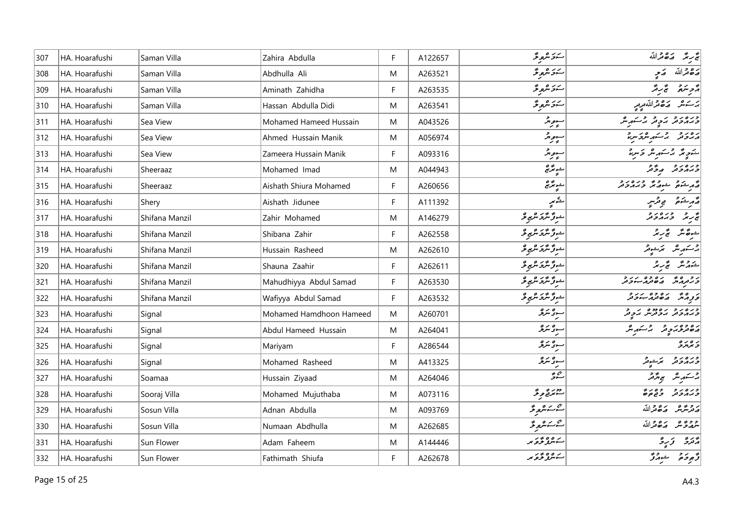| 307 | HA. Hoarafushi | Saman Villa    | Zahira Abdulla          | F         | A122657 | سەئەشرە ئە                            | يرە قراللە<br>پچ <sub>سر</sub> پیشه      |
|-----|----------------|----------------|-------------------------|-----------|---------|---------------------------------------|------------------------------------------|
| 308 | HA. Hoarafushi | Saman Villa    | Abdhulla Ali            | M         | A263521 | سەئە شرەپە ق                          | پرکھ قراللّه                             |
| 309 | HA. Hoarafushi | Saman Villa    | Aminath Zahidha         | F         | A263535 | سەد ئىرو ئە                           | ومحر سنتمر تمجر فكر                      |
| 310 | HA. Hoarafushi | Saman Villa    | Hassan Abdulla Didi     | M         | A263541 | سەر ھەيدۇ                             | برسة مره و اللّه مرمر                    |
| 311 | HA. Hoarafushi | Sea View       | Mohamed Hameed Hussain  | M         | A043526 | سوە دىر<br>ئى                         | ورەرو روپر رئەر م                        |
| 312 | HA. Hoarafushi | Sea View       | Ahmed Hussain Manik     | M         | A056974 | سوە پر<br>ئەسر                        | גפני גיבוק יוצבייני                      |
| 313 | HA. Hoarafushi | Sea View       | Zameera Hussain Manik   | F         | A093316 | سوە دىر<br>ئەگر                       | شوپڈ بر سکر بھر کا مرینا                 |
| 314 | HA. Hoarafushi | Sheeraaz       | Mohamed Imad            | ${\sf M}$ | A044943 | ے پرچ<br>پ                            | כממכת הכת                                |
| 315 | HA. Hoarafushi | Sheeraaz       | Aishath Shiura Mohamed  | F         | A260656 | سنومرچ<br>پخ                          | د در در در در در در د                    |
| 316 | HA. Hoarafushi | Shery          | Aishath Jidunee         | F         | A111392 | مشكومير                               | أقهر مشكاة والمحافية                     |
| 317 | HA. Hoarafushi | Shifana Manzil | Zahir Mohamed           | M         | A146279 | ىش <sub>ۇ</sub> ر ئىز ئىرىمى ئى       | 5,012,02                                 |
| 318 | HA. Hoarafushi | Shifana Manzil | Shibana Zahir           | F         | A262558 | شور <i>مترکز</i> مثر ہو تھ            | شوقة تتمريز                              |
| 319 | HA. Hoarafushi | Shifana Manzil | Hussain Rasheed         | ${\sf M}$ | A262610 | ىش <sub>ى</sub> ر <i>ئەھرىكى بى</i> ر | وكسكر مكر المراكب وكر                    |
| 320 | HA. Hoarafushi | Shifana Manzil | Shauna Zaahir           | F         | A262611 | ى <i>شىرۇ ئىركى</i> ئىرىگىر           | شەر شىر تەرىپ                            |
| 321 | HA. Hoarafushi | Shifana Manzil | Mahudhiyya Abdul Samad  | F         | A263530 | ىش <sub>ۇ</sub> ر ئىز ئىزىمى ئى       | נכנס ניסי ניני                           |
| 322 | HA. Hoarafushi | Shifana Manzil | Wafiyya Abdul Samad     | F         | A263532 | ى <i>شوۋ ئىركە</i> ئىرىمى ئى          | و وه ده ده درو                           |
| 323 | HA. Hoarafushi | Signal         | Mohamed Hamdhoon Hameed | ${\sf M}$ | A260701 | سەرى ئىزىۋ                            | ورەر د رەپرە روپر<br>دېرمردىر بروترس پرچ |
| 324 | HA. Hoarafushi | Signal         | Abdul Hameed Hussain    | M         | A264041 | سومح مترقحه<br>مر                     | גם כפי כבי הרבות ייתו                    |
| 325 | HA. Hoarafushi | Signal         | Mariyam                 | F         | A286544 | سوى تىرى<br>س                         | ر ه ر ه<br><del>ر</del> بربر و           |
| 326 | HA. Hoarafushi | Signal         | Mohamed Rasheed         | M         | A413325 | ا ہے میرو<br>پے متربحہ                | ورەرو كەشەر                              |
| 327 | HA. Hoarafushi | Soamaa         | Hussain Ziyaad          | M         | A264046 | حيز                                   | بر سکور مگر ہے مگرفتر                    |
| 328 | HA. Hoarafushi | Sooraj Villa   | Mohamed Mujuthaba       | ${\sf M}$ | A073116 | م <sup>عو</sup> مرہ <sub>حر</sub> محہ |                                          |
| 329 | HA. Hoarafushi | Sosun Villa    | Adnan Abdulla           | ${\sf M}$ | A093769 | <u>شر سەھرىرى</u>                     | بروعره بره قرالله                        |
| 330 | HA. Hoarafushi | Sosun Villa    | Numaan Abdhulla         | ${\sf M}$ | A262685 | ح سەمبى <sub>رى</sub> ئە              | معدة مصرالله                             |
| 331 | HA. Hoarafushi | Sun Flower     | Adam Faheem             | M         | A144446 | سەشرىۋۇ ئىر                           | پەرە<br>مەنىرى<br>تزرد                   |
| 332 | HA. Hoarafushi | Sun Flower     | Fathimath Shiufa        | F         | A262678 | ئەندى <sub>ق</sub> بۇ بۇ ئەند         | ژوځو شروژ                                |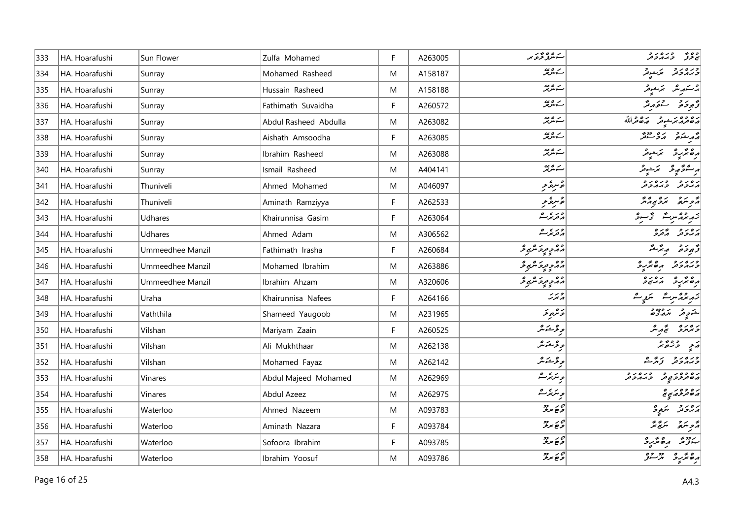| 333 | HA. Hoarafushi | Sun Flower       | Zulfa Mohamed         | F         | A263005 | ر ۵۵۵ پر بر<br>س <sup>ت</sup> مترو څونو | وه وره رو<br>بح <i>څرنۍ</i> حرکتر     |
|-----|----------------|------------------|-----------------------|-----------|---------|-----------------------------------------|---------------------------------------|
| 334 | HA. Hoarafushi | Sunray           | Mohamed Rasheed       | M         | A158187 | يەھەيجە                                 | دره در د<br>  دبر در در سرشونر        |
| 335 | HA. Hoarafushi | Sunray           | Hussain Rasheed       | M         | A158188 | ر ە ،،<br>سەمىر                         | رحم شكور مكر المحر سياسي              |
| 336 | HA. Hoarafushi | Sunray           | Fathimath Suvaidha    | F         | A260572 | ر ە ،،<br>سەمىر                         | توجدة سنفهقه                          |
| 337 | HA. Hoarafushi | Sunray           | Abdul Rasheed Abdulla | M         | A263082 | ر ۵ پر                                  | ره وه بر دو بره د الله                |
| 338 | HA. Hoarafushi | Sunray           | Aishath Amsoodha      | F         | A263085 | ر ۵ ،،<br>سەمىر                         | مەر ئىستىمى مەر ئىستىر                |
| 339 | HA. Hoarafushi | Sunray           | Ibrahim Rasheed       | ${\sf M}$ | A263088 | ر ە ،،<br>سەمىر                         | أرە ئۆر ئەس ئۇسىر                     |
| 340 | HA. Hoarafushi | Sunray           | Ismail Rasheed        | ${\sf M}$ | A404141 | ر ە ،،<br>سەمىر                         | برحوم ويحصح المراجو                   |
| 341 | HA. Hoarafushi | Thuniveli        | Ahmed Mohamed         | M         | A046097 | فحم سرءكم مر                            | נפנד בנסנד<br>הגבת בגהבת              |
| 342 | HA. Hoarafushi | Thuniveli        | Aminath Ramziyya      | F         | A262533 | ومجسرة مر                               | הביתה הפיזרית                         |
| 343 | HA. Hoarafushi | Udhares          | Khairunnisa Gasim     | F         | A263064 | د ر ، م<br>مرمر <i>مر</i>               | تەر پرورسىيە ئۇسۇ                     |
| 344 | HA. Hoarafushi | <b>Udhares</b>   | Ahmed Adam            | ${\sf M}$ | A306562 | د ر بر م<br>مرمر سه                     | رەر د درە<br>גرونر גىر <i>و</i>       |
| 345 | HA. Hoarafushi | Ummeedhee Manzil | Fathimath Irasha      | F         | A260684 | وه <sub>و تر</sub> ځ ش <sub>م</sub> و و | أزودو مقط                             |
| 346 | HA. Hoarafushi | Ummeedhee Manzil | Mohamed Ibrahim       | M         | A263886 | رو د پرو ش <sub>کو</sub> تر             | כממכני תפתיב                          |
| 347 | HA. Hoarafushi | Ummeedhee Manzil | Ibrahim Ahzam         | M         | A320606 | <br>  پرو <sub>چ قر</sub> یز شہر عم     | رەپرىي مەمدە                          |
| 348 | HA. Hoarafushi | Uraha            | Khairunnisa Nafees    | F         | A264166 | برىرىر                                  | تەرچە سرىئە سىرى                      |
| 349 | HA. Hoarafushi | Vaththila        | Shameed Yaugoob       | M         | A231965 | ئەشرىرىگە                               | شرح پر دود و                          |
| 350 | HA. Hoarafushi | Vilshan          | Mariyam Zaain         | F         | A260525 | <sub>عو</sub> ثۇرىشىر                   | دەرە ئەرش                             |
| 351 | HA. Hoarafushi | Vilshan          | Ali Mukhthaar         | M         | A262138 | موڅستر شر                               | أەبى دەپرى                            |
| 352 | HA. Hoarafushi | Vilshan          | Mohamed Fayaz         | M         | A262142 | ويحشر                                   | ورەر دېگر ش                           |
| 353 | HA. Hoarafushi | Vinares          | Abdul Majeed Mohamed  | M         | A262969 | المحتر يثقيقه                           | גם כסג כדי כגם גב<br>גם האיכול המידיה |
| 354 | HA. Hoarafushi | Vinares          | <b>Abdul Azeez</b>    | ${\sf M}$ | A262975 | وبتربر مقمر                             | ره وه ر<br>په څنرگرېږي                |
| 355 | HA. Hoarafushi | Waterloo         | Ahmed Nazeem          | M         | A093783 | 0 ير 19<br>حرم برتر                     | أرور و سَمْرٍ و                       |
| 356 | HA. Hoarafushi | Waterloo         | Aminath Nazara        | F         | A093784 | ہ ر دد<br>حریح مرم                      | أزويتم يتمايته                        |
| 357 | HA. Hoarafushi | Waterloo         | Sofoora Ibrahim       | F         | A093785 | ای ر دو<br> وغ بربر                     | بيوديو برەتمەر                        |
| 358 | HA. Hoarafushi | Waterloo         | Ibrahim Yoosuf        | ${\sf M}$ | A093786 | ابر دو<br> لاھ برم                      | ده پر ده ده وه<br>  ده پر پر در دو    |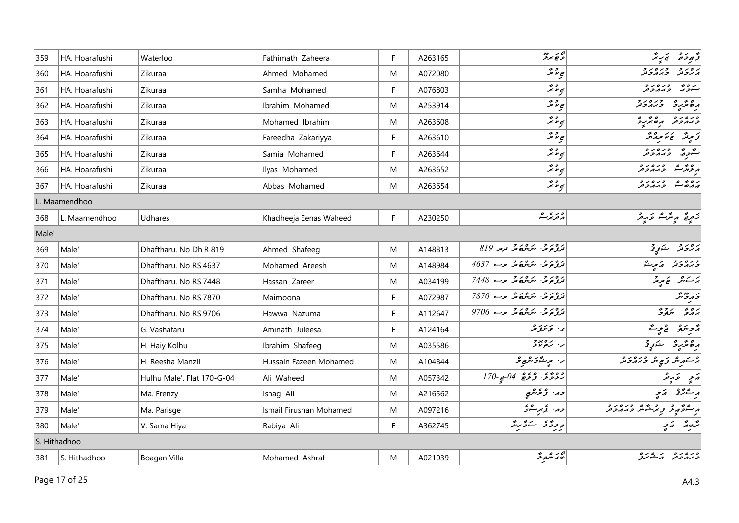| 359          | HA. Hoarafushi | Waterloo                   | Fathimath Zaheera       | F         | A263165 | ابر دو<br>  د ځا مرمر          | قَهْ وَحَقَّ تَجْرِبَّرَ                   |
|--------------|----------------|----------------------------|-------------------------|-----------|---------|--------------------------------|--------------------------------------------|
| 360          | HA. Hoarafushi | Zikuraa                    | Ahmed Mohamed           | ${\sf M}$ | A072080 | ىبى ئەتگە                      | ג סגב בג סגב<br>הגבע בגהבע                 |
| 361          | HA. Hoarafushi | Zikuraa                    | Samha Mohamed           | F         | A076803 | ىبى ئەتتىر                     | و ره ر د<br><i>د ب</i> رگرمر<br>سترديخه    |
| 362          | HA. Hoarafushi | Zikuraa                    | Ibrahim Mohamed         | M         | A253914 | ىي ئەنتىر                      | ور ه ر و<br><i>د ب</i> رگرفر<br>ە ھەترىر ۋ |
| 363          | HA. Hoarafushi | Zikuraa                    | Mohamed Ibrahim         | M         | A263608 | لمجرنتم                        | כנסנג תפתני                                |
| 364          | HA. Hoarafushi | Zikuraa                    | Fareedha Zakariyya      | F         | A263610 | ىبى ئەتتىر                     | توسيقر تماسمه والمحمد                      |
| 365          | HA. Hoarafushi | Zikuraa                    | Samia Mohamed           | F         | A263644 | ىبى ئەتتىر                     | شوره وره دو                                |
| 366          | HA. Hoarafushi | Zikuraa                    | Ilyas Mohamed           | M         | A263652 | ليوثر تثمر                     | مروش ورەرد                                 |
| 367          | HA. Hoarafushi | Zikuraa                    | Abbas Mohamed           | ${\sf M}$ | A263654 | ليوثر تثر                      | ره ده دره دو                               |
|              | L. Maamendhoo  |                            |                         |           |         |                                |                                            |
| 368          | L. Maamendhoo  | Udhares                    | Khadheeja Eenas Waheed  | F         | A230250 | ەربىر ھ                        | زَمِرِةٌ ۖ مٍ مَرَّبٌ ۖ وَبِرِيْرٌ         |
| Male'        |                |                            |                         |           |         |                                |                                            |
| 369          | Male'          | Dhaftharu. No Dh R 819     | Ahmed Shafeeg           | M         | A148813 | دەر دېگە ئىر سىر 819           | دەر دۇر سەر ئ                              |
| 370          | Male'          | Dhaftharu. No RS 4637      | Mohamed Areesh          | M         | A148984 | رەر دېم شرىرى تەرىپ 4637       | ورەرو كەيدى                                |
| 371          | Male'          | Dhaftharu. No RS 7448      | Hassan Zareer           | M         | A034199 | رەرى. سەھەتمە بوسى 7448        | يركشش الجامريني                            |
| 372          | Male'          | Dhaftharu. No RS 7870      | Maimoona                | F         | A072987 | تروم تم. سَرْسْهَة تمر سو 7870 | ر<br>د د د ش                               |
| 373          | Male'          | Dhaftharu. No RS 9706      | Hawwa Nazuma            | F         | A112647 | قرۇمۇش ئىر شەھەتمە ئەسىر 9706  | رە ئەرەپە<br>بەرگە سەۋە                    |
| 374          | Male'          | G. Vashafaru               | Aminath Juleesa         | F         | A124164 | ى بە ئەترىمى                   | د و سره د د د ش                            |
| 375          | Male'          | H. Haiy Kolhu              | Ibrahim Shafeeq         | M         | A035586 | ر بره برو<br>ر· برخ لا ل       | رەترىر ئىر <sub>ۇ</sub>                    |
| 376          | Male'          | H. Reesha Manzil           | Hussain Fazeen Mohamed  | M         | A104844 | ر. برېشتر شمېر ش               |                                            |
| 377          | Male'          | Hulhu Male'. Flat 170-G-04 | Ali Waheed              | M         | A057342 | $170$ -يوگو. وڏه $-04$ -ي      | ە ئەرەر                                    |
| 378          | Male'          | Ma. Frenzy                 | Ishag Ali               | M         | A216562 | دە.، ۋېڭەشمې                   | وسترجى الماسي                              |
| 379          | Male'          | Ma. Parisge                | Ismail Firushan Mohamed | M         | A097216 | دە. ئۇ بىرىشى                  | ر قصره و برخور در در د                     |
| 380          | Male'          | V. Sama Hiya               | Rabiya Ali              | F         | A362745 | مورځ تو ٤ - پر تر              | بڑھ پر کر                                  |
| S. Hithadhoo |                |                            |                         |           |         |                                |                                            |
| 381          | S. Hithadhoo   | Boagan Villa               | Mohamed Ashraf          | ${\sf M}$ | A021039 | ەر ھ <sub>ى</sub> ئەگە         | ورەرو رەرە                                 |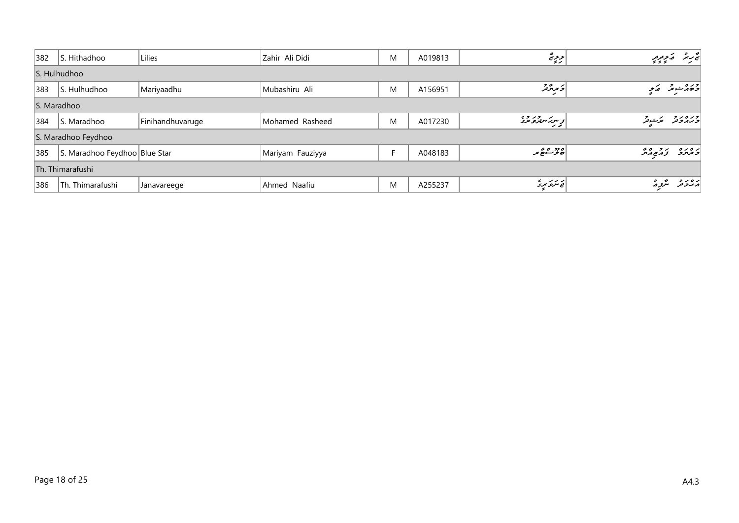| 382 | S. Hithadhoo                  | Lilies           | Zahir Ali Didi   | M | A019813 | $\mathcal{O}$<br>ترتويخ            |                    | تج پر تھا کھ چوہوں |
|-----|-------------------------------|------------------|------------------|---|---------|------------------------------------|--------------------|--------------------|
|     | S. Hulhudhoo                  |                  |                  |   |         |                                    |                    |                    |
| 383 | l S. Hulhudhoo                | Mariyaadhu       | Mubashiru Ali    | M | A156951 | ئە بىرەڭرىتر                       |                    | وەم شومى كەم       |
|     | S. Maradhoo                   |                  |                  |   |         |                                    |                    |                    |
| 384 | l S. Maradhoo                 | Finihandhuvaruge | Mohamed Rasheed  | M | A017230 | د سربر سرد کرد د ؟                 | وره د و هم کرشونگر |                    |
|     | S. Maradhoo Feydhoo           |                  |                  |   |         |                                    |                    |                    |
| 385 | S. Maradhoo Feydhoo Blue Star |                  | Mariyam Fauziyya |   | A048183 | ە «رەپچ بىر                        | גםגם גרשתת         |                    |
|     | Th. Thimarafushi              |                  |                  |   |         |                                    |                    |                    |
| 386 | Th. Thimarafushi              | Janavareege      | Ahmed Naafiu     | M | A255237 | پر سر پر سر<br>  پی سر پر سر پر پر | سترور              | ەرەر               |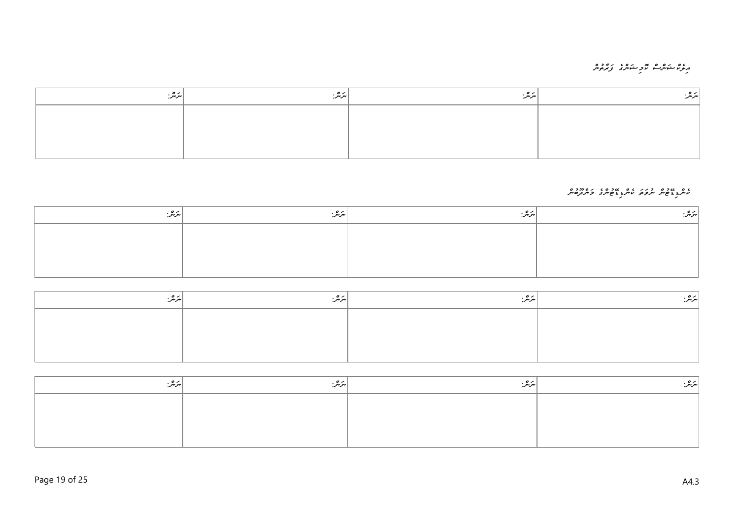## *w7qAn8m? sCw7mRo>u; wEw7mRw;sBo<*

| ' مرمر | 'يئرىثر: |
|--------|----------|
|        |          |
|        |          |
|        |          |

## *w7q9r@w7m> sCw7qHtFoFw7s; mAm=q7 w7qHtFoFw7s;*

| يئرمىش: | $^{\circ}$<br>. سر سر<br>$\cdot$ | $\circ$ $\sim$<br>-- | يئرمثر |
|---------|----------------------------------|----------------------|--------|
|         |                                  |                      |        |
|         |                                  |                      |        |
|         |                                  |                      |        |

| انترنثر: | $^{\circ}$ | يبرهر | $^{\circ}$<br>سرسر |
|----------|------------|-------|--------------------|
|          |            |       |                    |
|          |            |       |                    |
|          |            |       |                    |

| ىرتىر: | 。<br>سر سر | .,<br>مرسر |
|--------|------------|------------|
|        |            |            |
|        |            |            |
|        |            |            |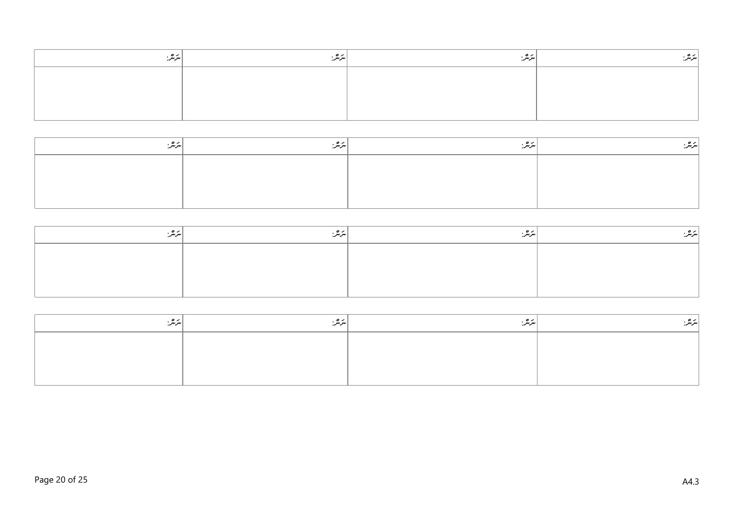| يزهر | $^{\circ}$ | ىئرىتر: |  |
|------|------------|---------|--|
|      |            |         |  |
|      |            |         |  |
|      |            |         |  |

| <sup>.</sup> سرسر. |  |
|--------------------|--|
|                    |  |
|                    |  |
|                    |  |

| ىئرىتر. | $\sim$ | ا بر هه. | لىرىش |
|---------|--------|----------|-------|
|         |        |          |       |
|         |        |          |       |
|         |        |          |       |

| 。<br>مرس. | $\overline{\phantom{a}}$<br>مر مىر | يتريثر |
|-----------|------------------------------------|--------|
|           |                                    |        |
|           |                                    |        |
|           |                                    |        |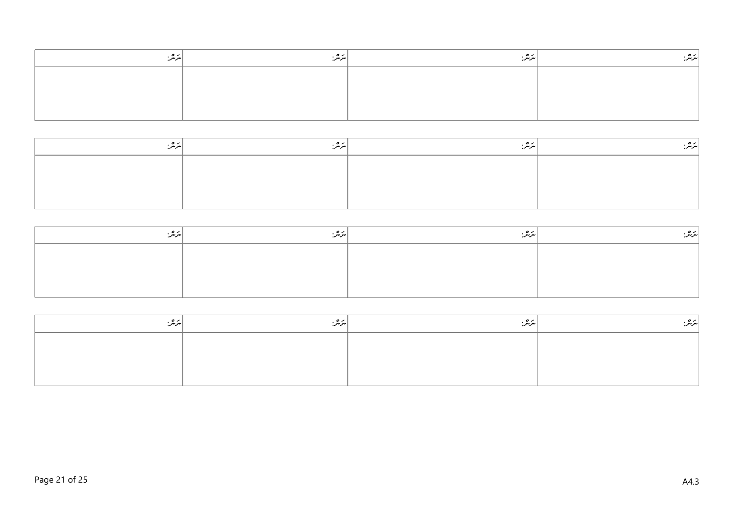| ير هو . | $\overline{\phantom{a}}$ | يرمر | اير هنه. |
|---------|--------------------------|------|----------|
|         |                          |      |          |
|         |                          |      |          |
|         |                          |      |          |

| ىر تىر: | $\circ$ $\sim$<br>" سرسر . | يبرحه | o . |
|---------|----------------------------|-------|-----|
|         |                            |       |     |
|         |                            |       |     |
|         |                            |       |     |

| 'تترنثر: | 。<br>,,,, |  |
|----------|-----------|--|
|          |           |  |
|          |           |  |
|          |           |  |

|  | . ه |
|--|-----|
|  |     |
|  |     |
|  |     |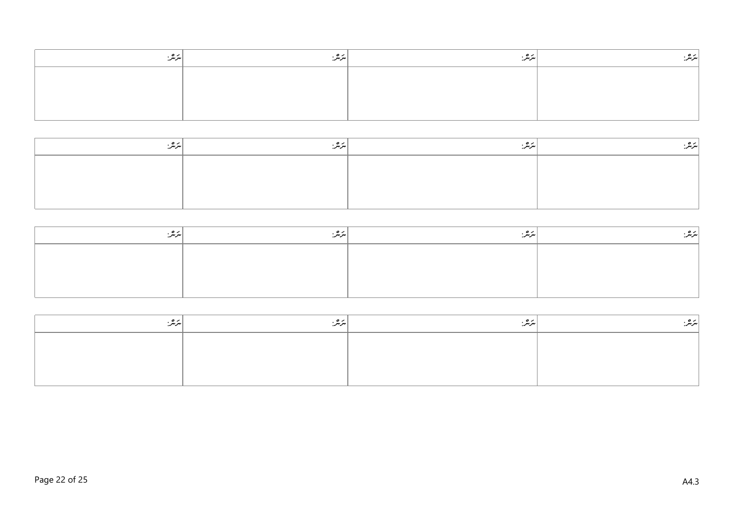| ير هو . | $\overline{\phantom{a}}$ | يرمر | اير هنه. |
|---------|--------------------------|------|----------|
|         |                          |      |          |
|         |                          |      |          |
|         |                          |      |          |

| ىر تىر: | $\circ$ $\sim$<br>" سرسر . | يبرحه | o . |
|---------|----------------------------|-------|-----|
|         |                            |       |     |
|         |                            |       |     |
|         |                            |       |     |

| 'تترنثر: | 。<br>,,,, |  |
|----------|-----------|--|
|          |           |  |
|          |           |  |
|          |           |  |

|  | . ه |
|--|-----|
|  |     |
|  |     |
|  |     |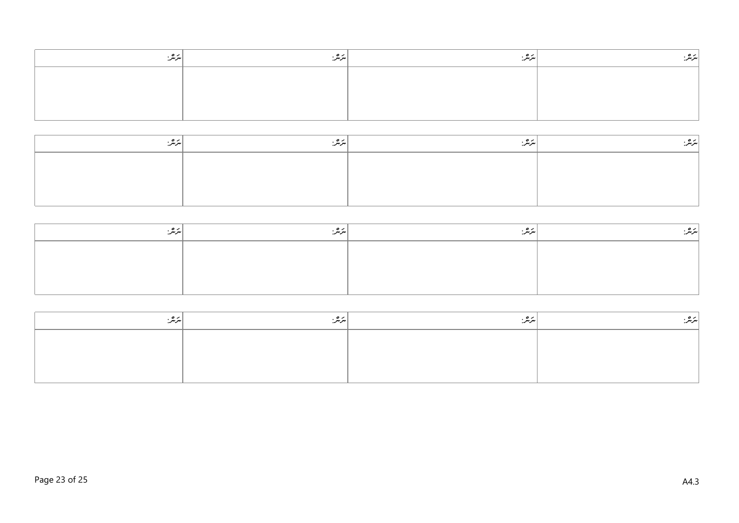| $\cdot$ | 。 | $\frac{\circ}{\cdot}$ | $\sim$<br>سرسر |
|---------|---|-----------------------|----------------|
|         |   |                       |                |
|         |   |                       |                |
|         |   |                       |                |

| يريثن | ' سرسر . |  |
|-------|----------|--|
|       |          |  |
|       |          |  |
|       |          |  |

| بر ه | . ه | $\overline{\phantom{0}}$<br>سرسر |  |
|------|-----|----------------------------------|--|
|      |     |                                  |  |
|      |     |                                  |  |
|      |     |                                  |  |

| 。<br>. س | ىرىىر |  |
|----------|-------|--|
|          |       |  |
|          |       |  |
|          |       |  |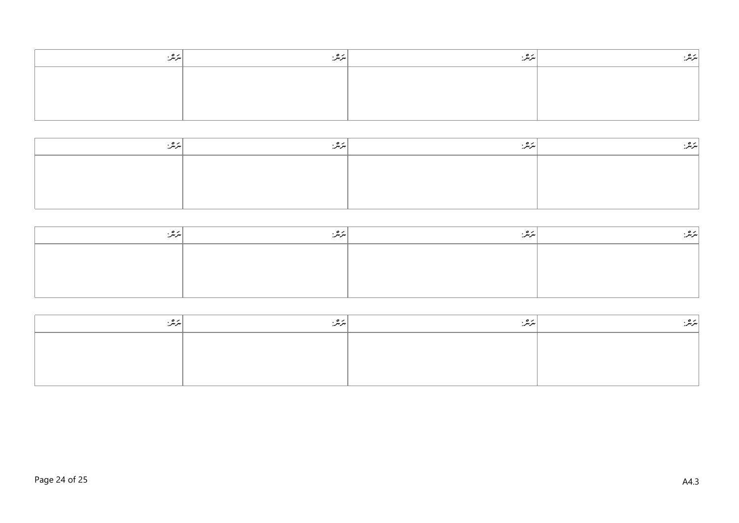| ير هو . | $\overline{\phantom{a}}$ | يرمر | اير هنه. |
|---------|--------------------------|------|----------|
|         |                          |      |          |
|         |                          |      |          |
|         |                          |      |          |

| ىر تىر: | $\circ$ $\sim$<br>" سرسر . | يبرحه | o . |
|---------|----------------------------|-------|-----|
|         |                            |       |     |
|         |                            |       |     |
|         |                            |       |     |

| انترنثر: | ر ه |  |
|----------|-----|--|
|          |     |  |
|          |     |  |
|          |     |  |

|  | . ه |
|--|-----|
|  |     |
|  |     |
|  |     |